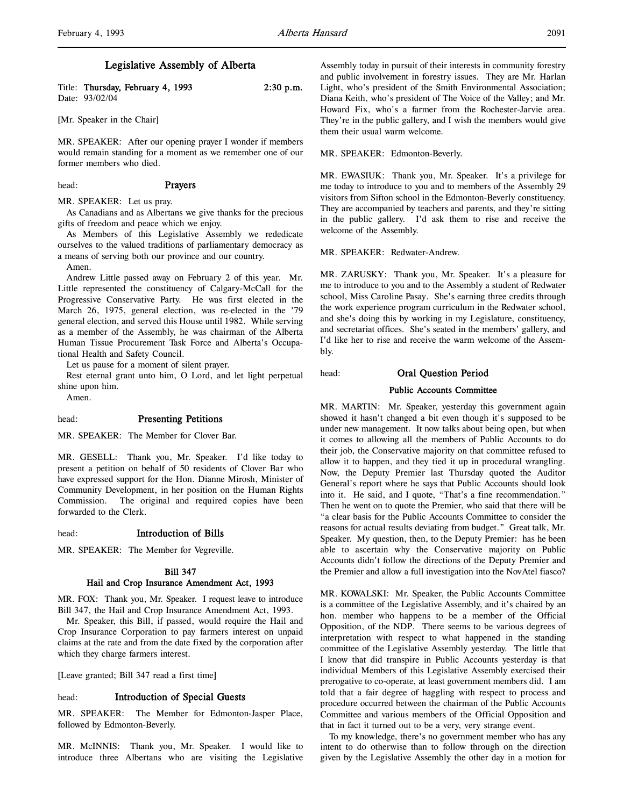## Legislative Assembly of Alberta

Title: Thursday, February 4, 1993 2:30 p.m. Date: 93/02/04

[Mr. Speaker in the Chair]

MR. SPEAKER: After our opening prayer I wonder if members would remain standing for a moment as we remember one of our former members who died.

## head: **Prayers**

MR. SPEAKER: Let us pray.

As Canadians and as Albertans we give thanks for the precious gifts of freedom and peace which we enjoy.

As Members of this Legislative Assembly we rededicate ourselves to the valued traditions of parliamentary democracy as a means of serving both our province and our country.

Amen.

Andrew Little passed away on February 2 of this year. Mr. Little represented the constituency of Calgary-McCall for the Progressive Conservative Party. He was first elected in the March 26, 1975, general election, was re-elected in the '79 general election, and served this House until 1982. While serving as a member of the Assembly, he was chairman of the Alberta Human Tissue Procurement Task Force and Alberta's Occupational Health and Safety Council.

Let us pause for a moment of silent prayer.

Rest eternal grant unto him, O Lord, and let light perpetual shine upon him.

Amen.

#### head: Presenting Petitions

MR. SPEAKER: The Member for Clover Bar.

MR. GESELL: Thank you, Mr. Speaker. I'd like today to present a petition on behalf of 50 residents of Clover Bar who have expressed support for the Hon. Dianne Mirosh, Minister of Community Development, in her position on the Human Rights Commission. The original and required copies have been forwarded to the Clerk.

head: Introduction of Bills

MR. SPEAKER: The Member for Vegreville.

# Bill 347

## Hail and Crop Insurance Amendment Act, 1993

MR. FOX: Thank you, Mr. Speaker. I request leave to introduce Bill 347, the Hail and Crop Insurance Amendment Act, 1993.

Mr. Speaker, this Bill, if passed, would require the Hail and Crop Insurance Corporation to pay farmers interest on unpaid claims at the rate and from the date fixed by the corporation after which they charge farmers interest.

[Leave granted; Bill 347 read a first time]

head: Introduction of Special Guests

MR. SPEAKER: The Member for Edmonton-Jasper Place, followed by Edmonton-Beverly.

MR. McINNIS: Thank you, Mr. Speaker. I would like to introduce three Albertans who are visiting the Legislative Assembly today in pursuit of their interests in community forestry and public involvement in forestry issues. They are Mr. Harlan Light, who's president of the Smith Environmental Association; Diana Keith, who's president of The Voice of the Valley; and Mr. Howard Fix, who's a farmer from the Rochester-Jarvie area. They're in the public gallery, and I wish the members would give them their usual warm welcome.

MR. SPEAKER: Edmonton-Beverly.

MR. EWASIUK: Thank you, Mr. Speaker. It's a privilege for me today to introduce to you and to members of the Assembly 29 visitors from Sifton school in the Edmonton-Beverly constituency. They are accompanied by teachers and parents, and they're sitting in the public gallery. I'd ask them to rise and receive the welcome of the Assembly.

MR. SPEAKER: Redwater-Andrew.

MR. ZARUSKY: Thank you, Mr. Speaker. It's a pleasure for me to introduce to you and to the Assembly a student of Redwater school, Miss Caroline Pasay. She's earning three credits through the work experience program curriculum in the Redwater school, and she's doing this by working in my Legislature, constituency, and secretariat offices. She's seated in the members' gallery, and I'd like her to rise and receive the warm welcome of the Assembly.

## head: Oral Question Period

#### Public Accounts Committee

MR. MARTIN: Mr. Speaker, yesterday this government again showed it hasn't changed a bit even though it's supposed to be under new management. It now talks about being open, but when it comes to allowing all the members of Public Accounts to do their job, the Conservative majority on that committee refused to allow it to happen, and they tied it up in procedural wrangling. Now, the Deputy Premier last Thursday quoted the Auditor General's report where he says that Public Accounts should look into it. He said, and I quote, "That's a fine recommendation." Then he went on to quote the Premier, who said that there will be "a clear basis for the Public Accounts Committee to consider the reasons for actual results deviating from budget." Great talk, Mr. Speaker. My question, then, to the Deputy Premier: has he been able to ascertain why the Conservative majority on Public Accounts didn't follow the directions of the Deputy Premier and the Premier and allow a full investigation into the NovAtel fiasco?

MR. KOWALSKI: Mr. Speaker, the Public Accounts Committee is a committee of the Legislative Assembly, and it's chaired by an hon. member who happens to be a member of the Official Opposition, of the NDP. There seems to be various degrees of interpretation with respect to what happened in the standing committee of the Legislative Assembly yesterday. The little that I know that did transpire in Public Accounts yesterday is that individual Members of this Legislative Assembly exercised their prerogative to co-operate, at least government members did. I am told that a fair degree of haggling with respect to process and procedure occurred between the chairman of the Public Accounts Committee and various members of the Official Opposition and that in fact it turned out to be a very, very strange event.

To my knowledge, there's no government member who has any intent to do otherwise than to follow through on the direction given by the Legislative Assembly the other day in a motion for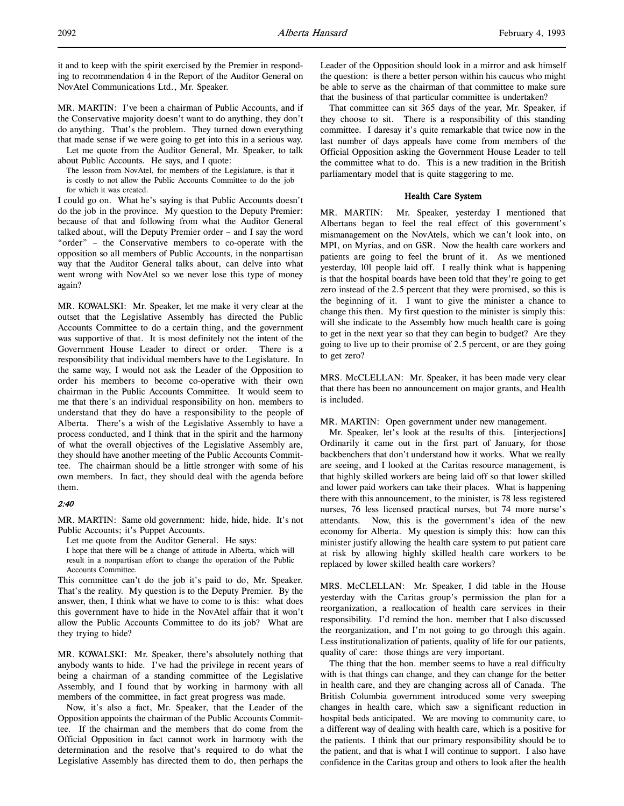it and to keep with the spirit exercised by the Premier in responding to recommendation 4 in the Report of the Auditor General on NovAtel Communications Ltd., Mr. Speaker.

MR. MARTIN: I've been a chairman of Public Accounts, and if the Conservative majority doesn't want to do anything, they don't do anything. That's the problem. They turned down everything that made sense if we were going to get into this in a serious way.

Let me quote from the Auditor General, Mr. Speaker, to talk about Public Accounts. He says, and I quote:

The lesson from NovAtel, for members of the Legislature, is that it is costly to not allow the Public Accounts Committee to do the job for which it was created.

I could go on. What he's saying is that Public Accounts doesn't do the job in the province. My question to the Deputy Premier: because of that and following from what the Auditor General talked about, will the Deputy Premier order – and I say the word "order" – the Conservative members to co-operate with the opposition so all members of Public Accounts, in the nonpartisan way that the Auditor General talks about, can delve into what went wrong with NovAtel so we never lose this type of money again?

MR. KOWALSKI: Mr. Speaker, let me make it very clear at the outset that the Legislative Assembly has directed the Public Accounts Committee to do a certain thing, and the government was supportive of that. It is most definitely not the intent of the Government House Leader to direct or order. There is a responsibility that individual members have to the Legislature. In the same way, I would not ask the Leader of the Opposition to order his members to become co-operative with their own chairman in the Public Accounts Committee. It would seem to me that there's an individual responsibility on hon. members to understand that they do have a responsibility to the people of Alberta. There's a wish of the Legislative Assembly to have a process conducted, and I think that in the spirit and the harmony of what the overall objectives of the Legislative Assembly are, they should have another meeting of the Public Accounts Committee. The chairman should be a little stronger with some of his own members. In fact, they should deal with the agenda before them.

#### 2:40

MR. MARTIN: Same old government: hide, hide, hide. It's not Public Accounts; it's Puppet Accounts.

Let me quote from the Auditor General. He says:

I hope that there will be a change of attitude in Alberta, which will result in a nonpartisan effort to change the operation of the Public Accounts Committee.

This committee can't do the job it's paid to do, Mr. Speaker. That's the reality. My question is to the Deputy Premier. By the answer, then, I think what we have to come to is this: what does this government have to hide in the NovAtel affair that it won't allow the Public Accounts Committee to do its job? What are they trying to hide?

MR. KOWALSKI: Mr. Speaker, there's absolutely nothing that anybody wants to hide. I've had the privilege in recent years of being a chairman of a standing committee of the Legislative Assembly, and I found that by working in harmony with all members of the committee, in fact great progress was made.

Now, it's also a fact, Mr. Speaker, that the Leader of the Opposition appoints the chairman of the Public Accounts Committee. If the chairman and the members that do come from the Official Opposition in fact cannot work in harmony with the determination and the resolve that's required to do what the Legislative Assembly has directed them to do, then perhaps the Leader of the Opposition should look in a mirror and ask himself the question: is there a better person within his caucus who might be able to serve as the chairman of that committee to make sure that the business of that particular committee is undertaken?

That committee can sit 365 days of the year, Mr. Speaker, if they choose to sit. There is a responsibility of this standing committee. I daresay it's quite remarkable that twice now in the last number of days appeals have come from members of the Official Opposition asking the Government House Leader to tell the committee what to do. This is a new tradition in the British parliamentary model that is quite staggering to me.

#### Health Care System

MR. MARTIN: Mr. Speaker, yesterday I mentioned that Albertans began to feel the real effect of this government's mismanagement on the NovAtels, which we can't look into, on MPI, on Myrias, and on GSR. Now the health care workers and patients are going to feel the brunt of it. As we mentioned yesterday, 101 people laid off. I really think what is happening is that the hospital boards have been told that they're going to get zero instead of the 2.5 percent that they were promised, so this is the beginning of it. I want to give the minister a chance to change this then. My first question to the minister is simply this: will she indicate to the Assembly how much health care is going to get in the next year so that they can begin to budget? Are they going to live up to their promise of 2.5 percent, or are they going to get zero?

MRS. McCLELLAN: Mr. Speaker, it has been made very clear that there has been no announcement on major grants, and Health is included.

MR. MARTIN: Open government under new management.

Mr. Speaker, let's look at the results of this. [interjections] Ordinarily it came out in the first part of January, for those backbenchers that don't understand how it works. What we really are seeing, and I looked at the Caritas resource management, is that highly skilled workers are being laid off so that lower skilled and lower paid workers can take their places. What is happening there with this announcement, to the minister, is 78 less registered nurses, 76 less licensed practical nurses, but 74 more nurse's attendants. Now, this is the government's idea of the new economy for Alberta. My question is simply this: how can this minister justify allowing the health care system to put patient care at risk by allowing highly skilled health care workers to be replaced by lower skilled health care workers?

MRS. McCLELLAN: Mr. Speaker, I did table in the House yesterday with the Caritas group's permission the plan for a reorganization, a reallocation of health care services in their responsibility. I'd remind the hon. member that I also discussed the reorganization, and I'm not going to go through this again. Less institutionalization of patients, quality of life for our patients, quality of care: those things are very important.

The thing that the hon. member seems to have a real difficulty with is that things can change, and they can change for the better in health care, and they are changing across all of Canada. The British Columbia government introduced some very sweeping changes in health care, which saw a significant reduction in hospital beds anticipated. We are moving to community care, to a different way of dealing with health care, which is a positive for the patients. I think that our primary responsibility should be to the patient, and that is what I will continue to support. I also have confidence in the Caritas group and others to look after the health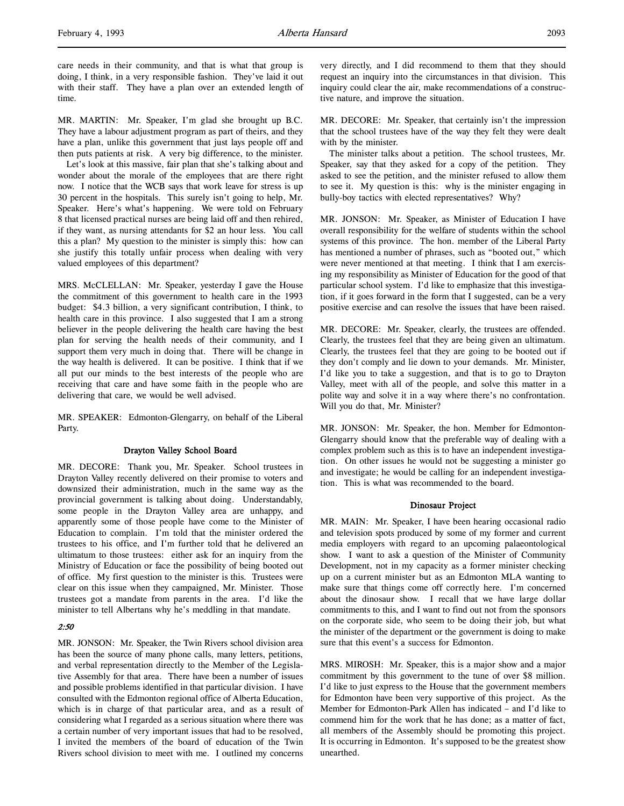care needs in their community, and that is what that group is doing, I think, in a very responsible fashion. They've laid it out with their staff. They have a plan over an extended length of time.

MR. MARTIN: Mr. Speaker, I'm glad she brought up B.C. They have a labour adjustment program as part of theirs, and they have a plan, unlike this government that just lays people off and then puts patients at risk. A very big difference, to the minister.

Let's look at this massive, fair plan that she's talking about and wonder about the morale of the employees that are there right now. I notice that the WCB says that work leave for stress is up 30 percent in the hospitals. This surely isn't going to help, Mr. Speaker. Here's what's happening. We were told on February 8 that licensed practical nurses are being laid off and then rehired, if they want, as nursing attendants for \$2 an hour less. You call this a plan? My question to the minister is simply this: how can she justify this totally unfair process when dealing with very valued employees of this department?

MRS. McCLELLAN: Mr. Speaker, yesterday I gave the House the commitment of this government to health care in the 1993 budget: \$4.3 billion, a very significant contribution, I think, to health care in this province. I also suggested that I am a strong believer in the people delivering the health care having the best plan for serving the health needs of their community, and I support them very much in doing that. There will be change in the way health is delivered. It can be positive. I think that if we all put our minds to the best interests of the people who are receiving that care and have some faith in the people who are delivering that care, we would be well advised.

MR. SPEAKER: Edmonton-Glengarry, on behalf of the Liberal Party.

#### Drayton Valley School Board

MR. DECORE: Thank you, Mr. Speaker. School trustees in Drayton Valley recently delivered on their promise to voters and downsized their administration, much in the same way as the provincial government is talking about doing. Understandably, some people in the Drayton Valley area are unhappy, and apparently some of those people have come to the Minister of Education to complain. I'm told that the minister ordered the trustees to his office, and I'm further told that he delivered an ultimatum to those trustees: either ask for an inquiry from the Ministry of Education or face the possibility of being booted out of office. My first question to the minister is this. Trustees were clear on this issue when they campaigned, Mr. Minister. Those trustees got a mandate from parents in the area. I'd like the minister to tell Albertans why he's meddling in that mandate.

## 2:50

MR. JONSON: Mr. Speaker, the Twin Rivers school division area has been the source of many phone calls, many letters, petitions, and verbal representation directly to the Member of the Legislative Assembly for that area. There have been a number of issues and possible problems identified in that particular division. I have consulted with the Edmonton regional office of Alberta Education, which is in charge of that particular area, and as a result of considering what I regarded as a serious situation where there was a certain number of very important issues that had to be resolved, I invited the members of the board of education of the Twin Rivers school division to meet with me. I outlined my concerns

very directly, and I did recommend to them that they should request an inquiry into the circumstances in that division. This inquiry could clear the air, make recommendations of a constructive nature, and improve the situation.

MR. DECORE: Mr. Speaker, that certainly isn't the impression that the school trustees have of the way they felt they were dealt with by the minister.

The minister talks about a petition. The school trustees, Mr. Speaker, say that they asked for a copy of the petition. They asked to see the petition, and the minister refused to allow them to see it. My question is this: why is the minister engaging in bully-boy tactics with elected representatives? Why?

MR. JONSON: Mr. Speaker, as Minister of Education I have overall responsibility for the welfare of students within the school systems of this province. The hon. member of the Liberal Party has mentioned a number of phrases, such as "booted out," which were never mentioned at that meeting. I think that I am exercising my responsibility as Minister of Education for the good of that particular school system. I'd like to emphasize that this investigation, if it goes forward in the form that I suggested, can be a very positive exercise and can resolve the issues that have been raised.

MR. DECORE: Mr. Speaker, clearly, the trustees are offended. Clearly, the trustees feel that they are being given an ultimatum. Clearly, the trustees feel that they are going to be booted out if they don't comply and lie down to your demands. Mr. Minister, I'd like you to take a suggestion, and that is to go to Drayton Valley, meet with all of the people, and solve this matter in a polite way and solve it in a way where there's no confrontation. Will you do that, Mr. Minister?

MR. JONSON: Mr. Speaker, the hon. Member for Edmonton-Glengarry should know that the preferable way of dealing with a complex problem such as this is to have an independent investigation. On other issues he would not be suggesting a minister go and investigate; he would be calling for an independent investigation. This is what was recommended to the board.

#### Dinosaur Project

MR. MAIN: Mr. Speaker, I have been hearing occasional radio and television spots produced by some of my former and current media employers with regard to an upcoming palaeontological show. I want to ask a question of the Minister of Community Development, not in my capacity as a former minister checking up on a current minister but as an Edmonton MLA wanting to make sure that things come off correctly here. I'm concerned about the dinosaur show. I recall that we have large dollar commitments to this, and I want to find out not from the sponsors on the corporate side, who seem to be doing their job, but what the minister of the department or the government is doing to make sure that this event's a success for Edmonton.

MRS. MIROSH: Mr. Speaker, this is a major show and a major commitment by this government to the tune of over \$8 million. I'd like to just express to the House that the government members for Edmonton have been very supportive of this project. As the Member for Edmonton-Park Allen has indicated – and I'd like to commend him for the work that he has done; as a matter of fact, all members of the Assembly should be promoting this project. It is occurring in Edmonton. It's supposed to be the greatest show unearthed.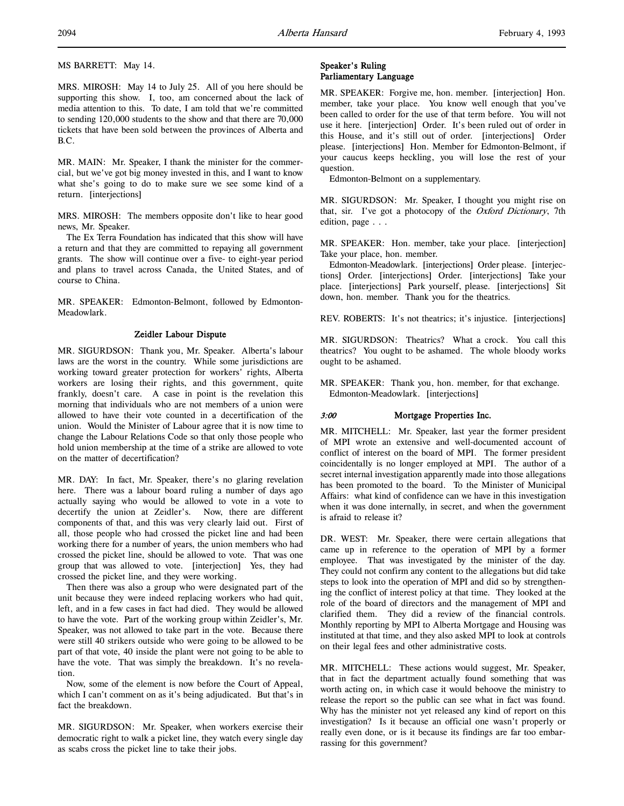MS BARRETT: May 14.

MRS. MIROSH: May 14 to July 25. All of you here should be supporting this show. I, too, am concerned about the lack of media attention to this. To date, I am told that we're committed to sending 120,000 students to the show and that there are 70,000 tickets that have been sold between the provinces of Alberta and B.C.

MR. MAIN: Mr. Speaker, I thank the minister for the commercial, but we've got big money invested in this, and I want to know what she's going to do to make sure we see some kind of a return. [interjections]

MRS. MIROSH: The members opposite don't like to hear good news, Mr. Speaker.

The Ex Terra Foundation has indicated that this show will have a return and that they are committed to repaying all government grants. The show will continue over a five- to eight-year period and plans to travel across Canada, the United States, and of course to China.

MR. SPEAKER: Edmonton-Belmont, followed by Edmonton-Meadowlark.

#### Zeidler Labour Dispute

MR. SIGURDSON: Thank you, Mr. Speaker. Alberta's labour laws are the worst in the country. While some jurisdictions are working toward greater protection for workers' rights, Alberta workers are losing their rights, and this government, quite frankly, doesn't care. A case in point is the revelation this morning that individuals who are not members of a union were allowed to have their vote counted in a decertification of the union. Would the Minister of Labour agree that it is now time to change the Labour Relations Code so that only those people who hold union membership at the time of a strike are allowed to vote on the matter of decertification?

MR. DAY: In fact, Mr. Speaker, there's no glaring revelation here. There was a labour board ruling a number of days ago actually saying who would be allowed to vote in a vote to decertify the union at Zeidler's. Now, there are different components of that, and this was very clearly laid out. First of all, those people who had crossed the picket line and had been working there for a number of years, the union members who had crossed the picket line, should be allowed to vote. That was one group that was allowed to vote. [interjection] Yes, they had crossed the picket line, and they were working.

Then there was also a group who were designated part of the unit because they were indeed replacing workers who had quit, left, and in a few cases in fact had died. They would be allowed to have the vote. Part of the working group within Zeidler's, Mr. Speaker, was not allowed to take part in the vote. Because there were still 40 strikers outside who were going to be allowed to be part of that vote, 40 inside the plant were not going to be able to have the vote. That was simply the breakdown. It's no revelation.

Now, some of the element is now before the Court of Appeal, which I can't comment on as it's being adjudicated. But that's in fact the breakdown.

MR. SIGURDSON: Mr. Speaker, when workers exercise their democratic right to walk a picket line, they watch every single day as scabs cross the picket line to take their jobs.

## Speaker's Ruling Parliamentary Language

MR. SPEAKER: Forgive me, hon. member. [interjection] Hon. member, take your place. You know well enough that you've been called to order for the use of that term before. You will not use it here. [interjection] Order. It's been ruled out of order in this House, and it's still out of order. [interjections] Order please. [interjections] Hon. Member for Edmonton-Belmont, if your caucus keeps heckling, you will lose the rest of your question.

Edmonton-Belmont on a supplementary.

MR. SIGURDSON: Mr. Speaker, I thought you might rise on that, sir. I've got a photocopy of the Oxford Dictionary, 7th edition, page . . .

MR. SPEAKER: Hon. member, take your place. [interjection] Take your place, hon. member.

Edmonton-Meadowlark. [interjections] Order please. [interjections] Order. [interjections] Order. [interjections] Take your place. [interjections] Park yourself, please. [interjections] Sit down, hon. member. Thank you for the theatrics.

REV. ROBERTS: It's not theatrics; it's injustice. [interjections]

MR. SIGURDSON: Theatrics? What a crock. You call this theatrics? You ought to be ashamed. The whole bloody works ought to be ashamed.

MR. SPEAKER: Thank you, hon. member, for that exchange. Edmonton-Meadowlark. [interjections]

## 3:00 Mortgage Properties Inc.

MR. MITCHELL: Mr. Speaker, last year the former president of MPI wrote an extensive and well-documented account of conflict of interest on the board of MPI. The former president coincidentally is no longer employed at MPI. The author of a secret internal investigation apparently made into those allegations has been promoted to the board. To the Minister of Municipal Affairs: what kind of confidence can we have in this investigation when it was done internally, in secret, and when the government is afraid to release it?

DR. WEST: Mr. Speaker, there were certain allegations that came up in reference to the operation of MPI by a former employee. That was investigated by the minister of the day. They could not confirm any content to the allegations but did take steps to look into the operation of MPI and did so by strengthening the conflict of interest policy at that time. They looked at the role of the board of directors and the management of MPI and clarified them. They did a review of the financial controls. Monthly reporting by MPI to Alberta Mortgage and Housing was instituted at that time, and they also asked MPI to look at controls on their legal fees and other administrative costs.

MR. MITCHELL: These actions would suggest, Mr. Speaker, that in fact the department actually found something that was worth acting on, in which case it would behoove the ministry to release the report so the public can see what in fact was found. Why has the minister not yet released any kind of report on this investigation? Is it because an official one wasn't properly or really even done, or is it because its findings are far too embarrassing for this government?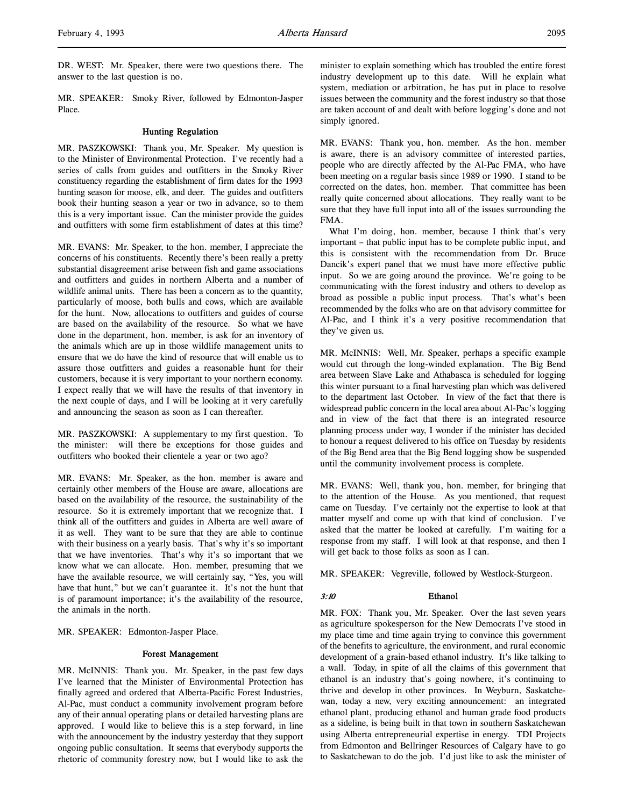DR. WEST: Mr. Speaker, there were two questions there. The answer to the last question is no.

MR. SPEAKER: Smoky River, followed by Edmonton-Jasper Place.

#### Hunting Regulation

MR. PASZKOWSKI: Thank you, Mr. Speaker. My question is to the Minister of Environmental Protection. I've recently had a series of calls from guides and outfitters in the Smoky River constituency regarding the establishment of firm dates for the 1993 hunting season for moose, elk, and deer. The guides and outfitters book their hunting season a year or two in advance, so to them this is a very important issue. Can the minister provide the guides and outfitters with some firm establishment of dates at this time?

MR. EVANS: Mr. Speaker, to the hon. member, I appreciate the concerns of his constituents. Recently there's been really a pretty substantial disagreement arise between fish and game associations and outfitters and guides in northern Alberta and a number of wildlife animal units. There has been a concern as to the quantity, particularly of moose, both bulls and cows, which are available for the hunt. Now, allocations to outfitters and guides of course are based on the availability of the resource. So what we have done in the department, hon. member, is ask for an inventory of the animals which are up in those wildlife management units to ensure that we do have the kind of resource that will enable us to assure those outfitters and guides a reasonable hunt for their customers, because it is very important to your northern economy. I expect really that we will have the results of that inventory in the next couple of days, and I will be looking at it very carefully and announcing the season as soon as I can thereafter.

MR. PASZKOWSKI: A supplementary to my first question. To the minister: will there be exceptions for those guides and outfitters who booked their clientele a year or two ago?

MR. EVANS: Mr. Speaker, as the hon. member is aware and certainly other members of the House are aware, allocations are based on the availability of the resource, the sustainability of the resource. So it is extremely important that we recognize that. I think all of the outfitters and guides in Alberta are well aware of it as well. They want to be sure that they are able to continue with their business on a yearly basis. That's why it's so important that we have inventories. That's why it's so important that we know what we can allocate. Hon. member, presuming that we have the available resource, we will certainly say, "Yes, you will have that hunt," but we can't guarantee it. It's not the hunt that is of paramount importance; it's the availability of the resource, the animals in the north.

MR. SPEAKER: Edmonton-Jasper Place.

#### Forest Management

MR. McINNIS: Thank you. Mr. Speaker, in the past few days I've learned that the Minister of Environmental Protection has finally agreed and ordered that Alberta-Pacific Forest Industries, Al-Pac, must conduct a community involvement program before any of their annual operating plans or detailed harvesting plans are approved. I would like to believe this is a step forward, in line with the announcement by the industry yesterday that they support ongoing public consultation. It seems that everybody supports the rhetoric of community forestry now, but I would like to ask the minister to explain something which has troubled the entire forest industry development up to this date. Will he explain what system, mediation or arbitration, he has put in place to resolve issues between the community and the forest industry so that those are taken account of and dealt with before logging's done and not simply ignored.

MR. EVANS: Thank you, hon. member. As the hon. member is aware, there is an advisory committee of interested parties, people who are directly affected by the Al-Pac FMA, who have been meeting on a regular basis since 1989 or 1990. I stand to be corrected on the dates, hon. member. That committee has been really quite concerned about allocations. They really want to be sure that they have full input into all of the issues surrounding the FMA.

What I'm doing, hon. member, because I think that's very important – that public input has to be complete public input, and this is consistent with the recommendation from Dr. Bruce Dancik's expert panel that we must have more effective public input. So we are going around the province. We're going to be communicating with the forest industry and others to develop as broad as possible a public input process. That's what's been recommended by the folks who are on that advisory committee for Al-Pac, and I think it's a very positive recommendation that they've given us.

MR. McINNIS: Well, Mr. Speaker, perhaps a specific example would cut through the long-winded explanation. The Big Bend area between Slave Lake and Athabasca is scheduled for logging this winter pursuant to a final harvesting plan which was delivered to the department last October. In view of the fact that there is widespread public concern in the local area about Al-Pac's logging and in view of the fact that there is an integrated resource planning process under way, I wonder if the minister has decided to honour a request delivered to his office on Tuesday by residents of the Big Bend area that the Big Bend logging show be suspended until the community involvement process is complete.

MR. EVANS: Well, thank you, hon. member, for bringing that to the attention of the House. As you mentioned, that request came on Tuesday. I've certainly not the expertise to look at that matter myself and come up with that kind of conclusion. I've asked that the matter be looked at carefully. I'm waiting for a response from my staff. I will look at that response, and then I will get back to those folks as soon as I can.

MR. SPEAKER: Vegreville, followed by Westlock-Sturgeon.

#### 3:10 Ethanol

MR. FOX: Thank you, Mr. Speaker. Over the last seven years as agriculture spokesperson for the New Democrats I've stood in my place time and time again trying to convince this government of the benefits to agriculture, the environment, and rural economic development of a grain-based ethanol industry. It's like talking to a wall. Today, in spite of all the claims of this government that ethanol is an industry that's going nowhere, it's continuing to thrive and develop in other provinces. In Weyburn, Saskatchewan, today a new, very exciting announcement: an integrated ethanol plant, producing ethanol and human grade food products as a sideline, is being built in that town in southern Saskatchewan using Alberta entrepreneurial expertise in energy. TDI Projects from Edmonton and Bellringer Resources of Calgary have to go to Saskatchewan to do the job. I'd just like to ask the minister of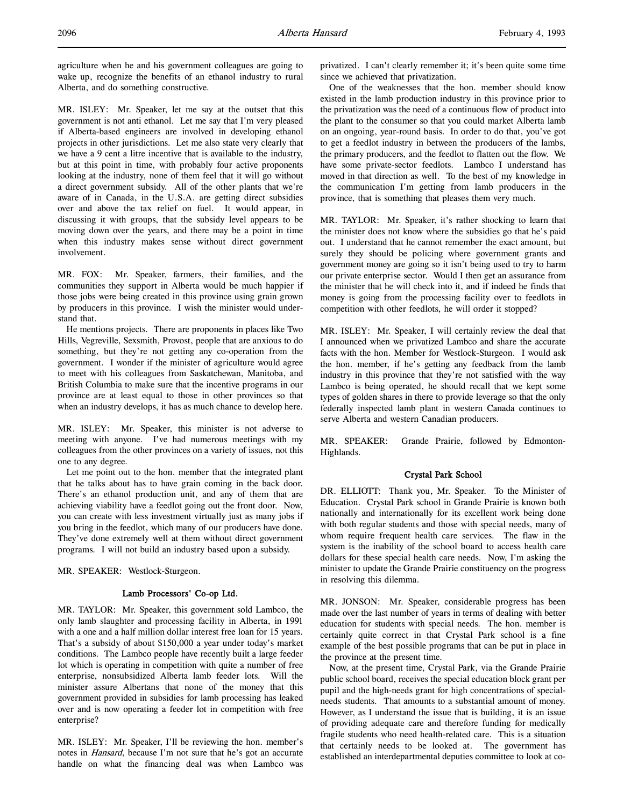agriculture when he and his government colleagues are going to wake up, recognize the benefits of an ethanol industry to rural Alberta, and do something constructive.

MR. ISLEY: Mr. Speaker, let me say at the outset that this government is not anti ethanol. Let me say that I'm very pleased if Alberta-based engineers are involved in developing ethanol projects in other jurisdictions. Let me also state very clearly that we have a 9 cent a litre incentive that is available to the industry, but at this point in time, with probably four active proponents looking at the industry, none of them feel that it will go without a direct government subsidy. All of the other plants that we're aware of in Canada, in the U.S.A. are getting direct subsidies over and above the tax relief on fuel. It would appear, in discussing it with groups, that the subsidy level appears to be moving down over the years, and there may be a point in time when this industry makes sense without direct government involvement.

MR. FOX: Mr. Speaker, farmers, their families, and the communities they support in Alberta would be much happier if those jobs were being created in this province using grain grown by producers in this province. I wish the minister would understand that.

He mentions projects. There are proponents in places like Two Hills, Vegreville, Sexsmith, Provost, people that are anxious to do something, but they're not getting any co-operation from the government. I wonder if the minister of agriculture would agree to meet with his colleagues from Saskatchewan, Manitoba, and British Columbia to make sure that the incentive programs in our province are at least equal to those in other provinces so that when an industry develops, it has as much chance to develop here.

MR. ISLEY: Mr. Speaker, this minister is not adverse to meeting with anyone. I've had numerous meetings with my colleagues from the other provinces on a variety of issues, not this one to any degree.

Let me point out to the hon. member that the integrated plant that he talks about has to have grain coming in the back door. There's an ethanol production unit, and any of them that are achieving viability have a feedlot going out the front door. Now, you can create with less investment virtually just as many jobs if you bring in the feedlot, which many of our producers have done. They've done extremely well at them without direct government programs. I will not build an industry based upon a subsidy.

MR. SPEAKER: Westlock-Sturgeon.

#### Lamb Processors' Co-op Ltd.

MR. TAYLOR: Mr. Speaker, this government sold Lambco, the only lamb slaughter and processing facility in Alberta, in 1991 with a one and a half million dollar interest free loan for 15 years. That's a subsidy of about \$150,000 a year under today's market conditions. The Lambco people have recently built a large feeder lot which is operating in competition with quite a number of free enterprise, nonsubsidized Alberta lamb feeder lots. Will the minister assure Albertans that none of the money that this government provided in subsidies for lamb processing has leaked over and is now operating a feeder lot in competition with free enterprise?

MR. ISLEY: Mr. Speaker, I'll be reviewing the hon. member's notes in Hansard, because I'm not sure that he's got an accurate handle on what the financing deal was when Lambco was

privatized. I can't clearly remember it; it's been quite some time since we achieved that privatization.

One of the weaknesses that the hon. member should know existed in the lamb production industry in this province prior to the privatization was the need of a continuous flow of product into the plant to the consumer so that you could market Alberta lamb on an ongoing, year-round basis. In order to do that, you've got to get a feedlot industry in between the producers of the lambs, the primary producers, and the feedlot to flatten out the flow. We have some private-sector feedlots. Lambco I understand has moved in that direction as well. To the best of my knowledge in the communication I'm getting from lamb producers in the province, that is something that pleases them very much.

MR. TAYLOR: Mr. Speaker, it's rather shocking to learn that the minister does not know where the subsidies go that he's paid out. I understand that he cannot remember the exact amount, but surely they should be policing where government grants and government money are going so it isn't being used to try to harm our private enterprise sector. Would I then get an assurance from the minister that he will check into it, and if indeed he finds that money is going from the processing facility over to feedlots in competition with other feedlots, he will order it stopped?

MR. ISLEY: Mr. Speaker, I will certainly review the deal that I announced when we privatized Lambco and share the accurate facts with the hon. Member for Westlock-Sturgeon. I would ask the hon. member, if he's getting any feedback from the lamb industry in this province that they're not satisfied with the way Lambco is being operated, he should recall that we kept some types of golden shares in there to provide leverage so that the only federally inspected lamb plant in western Canada continues to serve Alberta and western Canadian producers.

MR. SPEAKER: Grande Prairie, followed by Edmonton-Highlands.

#### Crystal Park School

DR. ELLIOTT: Thank you, Mr. Speaker. To the Minister of Education. Crystal Park school in Grande Prairie is known both nationally and internationally for its excellent work being done with both regular students and those with special needs, many of whom require frequent health care services. The flaw in the system is the inability of the school board to access health care dollars for these special health care needs. Now, I'm asking the minister to update the Grande Prairie constituency on the progress in resolving this dilemma.

MR. JONSON: Mr. Speaker, considerable progress has been made over the last number of years in terms of dealing with better education for students with special needs. The hon. member is certainly quite correct in that Crystal Park school is a fine example of the best possible programs that can be put in place in the province at the present time.

Now, at the present time, Crystal Park, via the Grande Prairie public school board, receives the special education block grant per pupil and the high-needs grant for high concentrations of specialneeds students. That amounts to a substantial amount of money. However, as I understand the issue that is building, it is an issue of providing adequate care and therefore funding for medically fragile students who need health-related care. This is a situation that certainly needs to be looked at. The government has established an interdepartmental deputies committee to look at co-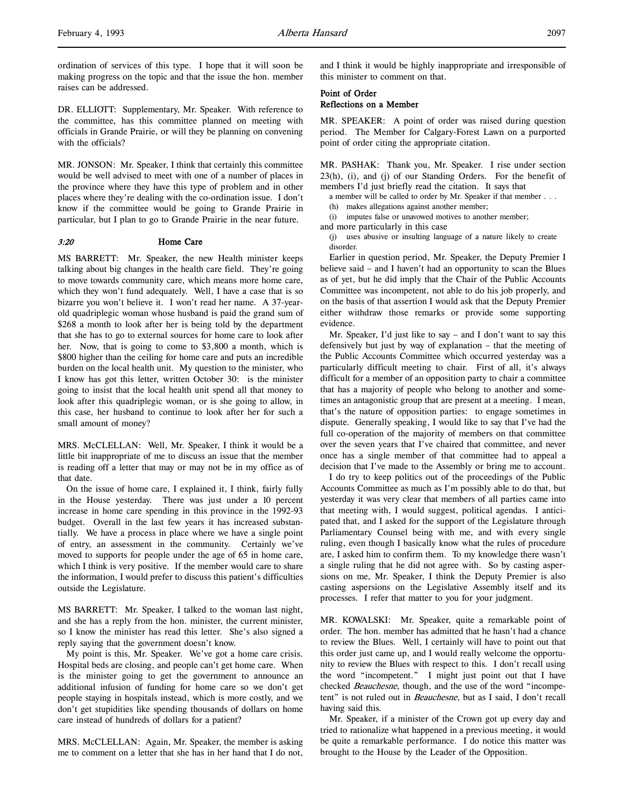ordination of services of this type. I hope that it will soon be making progress on the topic and that the issue the hon. member raises can be addressed.

DR. ELLIOTT: Supplementary, Mr. Speaker. With reference to the committee, has this committee planned on meeting with officials in Grande Prairie, or will they be planning on convening with the officials?

MR. JONSON: Mr. Speaker, I think that certainly this committee would be well advised to meet with one of a number of places in the province where they have this type of problem and in other places where they're dealing with the co-ordination issue. I don't know if the committee would be going to Grande Prairie in particular, but I plan to go to Grande Prairie in the near future.

#### 3:20 Home Care

MS BARRETT: Mr. Speaker, the new Health minister keeps talking about big changes in the health care field. They're going to move towards community care, which means more home care, which they won't fund adequately. Well, I have a case that is so bizarre you won't believe it. I won't read her name. A 37-yearold quadriplegic woman whose husband is paid the grand sum of \$268 a month to look after her is being told by the department that she has to go to external sources for home care to look after her. Now, that is going to come to \$3,800 a month, which is \$800 higher than the ceiling for home care and puts an incredible burden on the local health unit. My question to the minister, who I know has got this letter, written October 30: is the minister going to insist that the local health unit spend all that money to look after this quadriplegic woman, or is she going to allow, in this case, her husband to continue to look after her for such a small amount of money?

MRS. McCLELLAN: Well, Mr. Speaker, I think it would be a little bit inappropriate of me to discuss an issue that the member is reading off a letter that may or may not be in my office as of that date.

On the issue of home care, I explained it, I think, fairly fully in the House yesterday. There was just under a 10 percent increase in home care spending in this province in the 1992-93 budget. Overall in the last few years it has increased substantially. We have a process in place where we have a single point of entry, an assessment in the community. Certainly we've moved to supports for people under the age of 65 in home care, which I think is very positive. If the member would care to share the information, I would prefer to discuss this patient's difficulties outside the Legislature.

MS BARRETT: Mr. Speaker, I talked to the woman last night, and she has a reply from the hon. minister, the current minister, so I know the minister has read this letter. She's also signed a reply saying that the government doesn't know.

My point is this, Mr. Speaker. We've got a home care crisis. Hospital beds are closing, and people can't get home care. When is the minister going to get the government to announce an additional infusion of funding for home care so we don't get people staying in hospitals instead, which is more costly, and we don't get stupidities like spending thousands of dollars on home care instead of hundreds of dollars for a patient?

MRS. McCLELLAN: Again, Mr. Speaker, the member is asking me to comment on a letter that she has in her hand that I do not,

and I think it would be highly inappropriate and irresponsible of this minister to comment on that.

## Point of Order Reflections on a Member

MR. SPEAKER: A point of order was raised during question period. The Member for Calgary-Forest Lawn on a purported point of order citing the appropriate citation.

MR. PASHAK: Thank you, Mr. Speaker. I rise under section 23(h), (i), and (j) of our Standing Orders. For the benefit of members I'd just briefly read the citation. It says that

- a member will be called to order by Mr. Speaker if that member . . .
- (h) makes allegations against another member;
- (i) imputes false or unavowed motives to another member;
- and more particularly in this case
- (j) uses abusive or insulting language of a nature likely to create disorder.

Earlier in question period, Mr. Speaker, the Deputy Premier I believe said – and I haven't had an opportunity to scan the Blues as of yet, but he did imply that the Chair of the Public Accounts Committee was incompetent, not able to do his job properly, and on the basis of that assertion I would ask that the Deputy Premier either withdraw those remarks or provide some supporting evidence.

Mr. Speaker, I'd just like to say – and I don't want to say this defensively but just by way of explanation – that the meeting of the Public Accounts Committee which occurred yesterday was a particularly difficult meeting to chair. First of all, it's always difficult for a member of an opposition party to chair a committee that has a majority of people who belong to another and sometimes an antagonistic group that are present at a meeting. I mean, that's the nature of opposition parties: to engage sometimes in dispute. Generally speaking, I would like to say that I've had the full co-operation of the majority of members on that committee over the seven years that I've chaired that committee, and never once has a single member of that committee had to appeal a decision that I've made to the Assembly or bring me to account.

I do try to keep politics out of the proceedings of the Public Accounts Committee as much as I'm possibly able to do that, but yesterday it was very clear that members of all parties came into that meeting with, I would suggest, political agendas. I anticipated that, and I asked for the support of the Legislature through Parliamentary Counsel being with me, and with every single ruling, even though I basically know what the rules of procedure are, I asked him to confirm them. To my knowledge there wasn't a single ruling that he did not agree with. So by casting aspersions on me, Mr. Speaker, I think the Deputy Premier is also casting aspersions on the Legislative Assembly itself and its processes. I refer that matter to you for your judgment.

MR. KOWALSKI: Mr. Speaker, quite a remarkable point of order. The hon. member has admitted that he hasn't had a chance to review the Blues. Well, I certainly will have to point out that this order just came up, and I would really welcome the opportunity to review the Blues with respect to this. I don't recall using the word "incompetent." I might just point out that I have checked Beauchesne, though, and the use of the word "incompetent" is not ruled out in Beauchesne, but as I said, I don't recall having said this.

Mr. Speaker, if a minister of the Crown got up every day and tried to rationalize what happened in a previous meeting, it would be quite a remarkable performance. I do notice this matter was brought to the House by the Leader of the Opposition.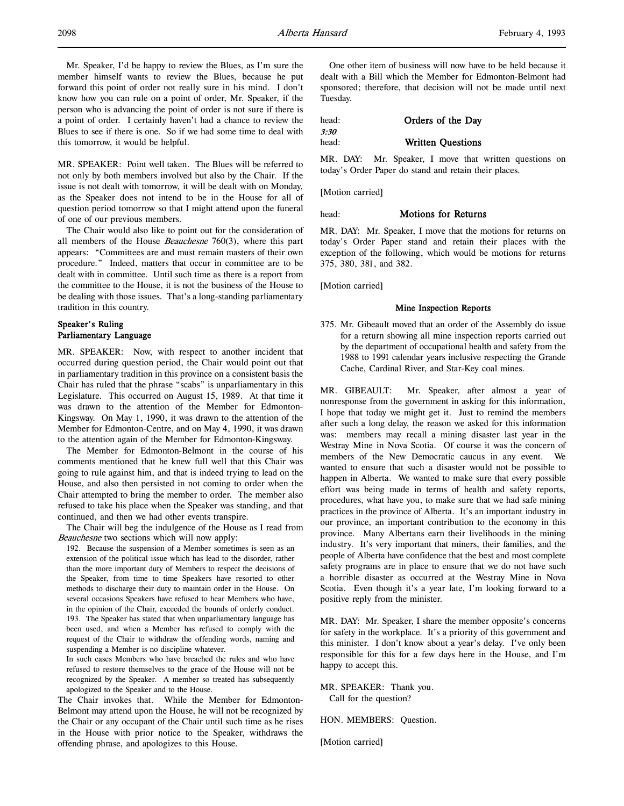Mr. Speaker, I'd be happy to review the Blues, as I'm sure the member himself wants to review the Blues, because he put forward this point of order not really sure in his mind. I don't know how you can rule on a point of order, Mr. Speaker, if the person who is advancing the point of order is not sure if there is a point of order. I certainly haven't had a chance to review the Blues to see if there is one. So if we had some time to deal with this tomorrow, it would be helpful.

MR. SPEAKER: Point well taken. The Blues will be referred to not only by both members involved but also by the Chair. If the issue is not dealt with tomorrow, it will be dealt with on Monday, as the Speaker does not intend to be in the House for all of question period tomorrow so that I might attend upon the funeral of one of our previous members.

The Chair would also like to point out for the consideration of all members of the House *Beauchesne*  $760(3)$ , where this part appears: "Committees are and must remain masters of their own procedure." Indeed, matters that occur in committee are to be dealt with in committee. Until such time as there is a report from the committee to the House, it is not the business of the House to be dealing with those issues. That's a long-standing parliamentary tradition in this country.

## Speaker's Ruling Parliamentary Language

MR. SPEAKER: Now, with respect to another incident that occurred during question period, the Chair would point out that in parliamentary tradition in this province on a consistent basis the Chair has ruled that the phrase "scabs" is unparliamentary in this Legislature. This occurred on August 15, 1989. At that time it was drawn to the attention of the Member for Edmonton-Kingsway. On May 1, 1990, it was drawn to the attention of the Member for Edmonton-Centre, and on May 4, 1990, it was drawn to the attention again of the Member for Edmonton-Kingsway.

The Member for Edmonton-Belmont in the course of his comments mentioned that he knew full well that this Chair was going to rule against him, and that is indeed trying to lead on the House, and also then persisted in not coming to order when the Chair attempted to bring the member to order. The member also refused to take his place when the Speaker was standing, and that continued, and then we had other events transpire.

The Chair will beg the indulgence of the House as I read from Beauchesne two sections which will now apply:

192. Because the suspension of a Member sometimes is seen as an extension of the political issue which has lead to the disorder, rather than the more important duty of Members to respect the decisions of the Speaker, from time to time Speakers have resorted to other methods to discharge their duty to maintain order in the House. On several occasions Speakers have refused to hear Members who have, in the opinion of the Chair, exceeded the bounds of orderly conduct. 193. The Speaker has stated that when unparliamentary language has been used, and when a Member has refused to comply with the request of the Chair to withdraw the offending words, naming and suspending a Member is no discipline whatever.

In such cases Members who have breached the rules and who have refused to restore themselves to the grace of the House will not be recognized by the Speaker. A member so treated has subsequently apologized to the Speaker and to the House.

The Chair invokes that. While the Member for Edmonton-Belmont may attend upon the House, he will not be recognized by the Chair or any occupant of the Chair until such time as he rises in the House with prior notice to the Speaker, withdraws the offending phrase, and apologizes to this House.

One other item of business will now have to be held because it dealt with a Bill which the Member for Edmonton-Belmont had sponsored; therefore, that decision will not be made until next Tuesday.

| head: | Orders of the Day        |
|-------|--------------------------|
| 3:30  |                          |
| head: | <b>Written Questions</b> |

MR. DAY: Mr. Speaker, I move that written questions on today's Order Paper do stand and retain their places.

[Motion carried]

#### head: **Motions for Returns**

MR. DAY: Mr. Speaker, I move that the motions for returns on today's Order Paper stand and retain their places with the exception of the following, which would be motions for returns 375, 380, 381, and 382.

[Motion carried]

#### Mine Inspection Reports

375. Mr. Gibeault moved that an order of the Assembly do issue for a return showing all mine inspection reports carried out by the department of occupational health and safety from the 1988 to 1991 calendar years inclusive respecting the Grande Cache, Cardinal River, and Star-Key coal mines.

MR. GIBEAULT: Mr. Speaker, after almost a year of nonresponse from the government in asking for this information, I hope that today we might get it. Just to remind the members after such a long delay, the reason we asked for this information was: members may recall a mining disaster last year in the Westray Mine in Nova Scotia. Of course it was the concern of members of the New Democratic caucus in any event. We wanted to ensure that such a disaster would not be possible to happen in Alberta. We wanted to make sure that every possible effort was being made in terms of health and safety reports, procedures, what have you, to make sure that we had safe mining practices in the province of Alberta. It's an important industry in our province, an important contribution to the economy in this province. Many Albertans earn their livelihoods in the mining industry. It's very important that miners, their families, and the people of Alberta have confidence that the best and most complete safety programs are in place to ensure that we do not have such a horrible disaster as occurred at the Westray Mine in Nova Scotia. Even though it's a year late, I'm looking forward to a positive reply from the minister.

MR. DAY: Mr. Speaker, I share the member opposite's concerns for safety in the workplace. It's a priority of this government and this minister. I don't know about a year's delay. I've only been responsible for this for a few days here in the House, and I'm happy to accept this.

MR. SPEAKER: Thank you. Call for the question?

HON. MEMBERS: Question.

[Motion carried]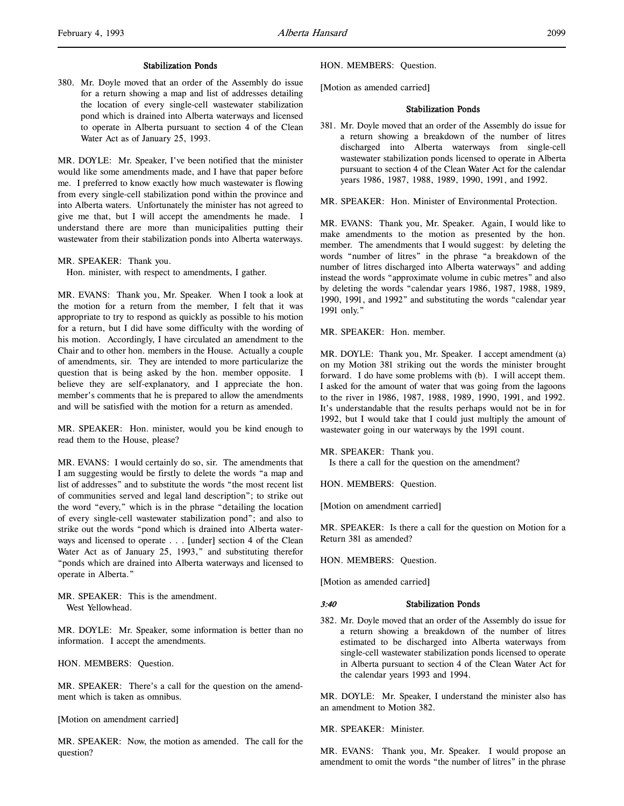380. Mr. Doyle moved that an order of the Assembly do issue for a return showing a map and list of addresses detailing the location of every single-cell wastewater stabilization pond which is drained into Alberta waterways and licensed to operate in Alberta pursuant to section 4 of the Clean Water Act as of January 25, 1993.

MR. DOYLE: Mr. Speaker, I've been notified that the minister would like some amendments made, and I have that paper before me. I preferred to know exactly how much wastewater is flowing from every single-cell stabilization pond within the province and into Alberta waters. Unfortunately the minister has not agreed to give me that, but I will accept the amendments he made. I understand there are more than municipalities putting their wastewater from their stabilization ponds into Alberta waterways.

MR. SPEAKER: Thank you.

Hon. minister, with respect to amendments, I gather.

MR. EVANS: Thank you, Mr. Speaker. When I took a look at the motion for a return from the member, I felt that it was appropriate to try to respond as quickly as possible to his motion for a return, but I did have some difficulty with the wording of his motion. Accordingly, I have circulated an amendment to the Chair and to other hon. members in the House. Actually a couple of amendments, sir. They are intended to more particularize the question that is being asked by the hon. member opposite. I believe they are self-explanatory, and I appreciate the hon. member's comments that he is prepared to allow the amendments and will be satisfied with the motion for a return as amended.

MR. SPEAKER: Hon. minister, would you be kind enough to read them to the House, please?

MR. EVANS: I would certainly do so, sir. The amendments that I am suggesting would be firstly to delete the words "a map and list of addresses" and to substitute the words "the most recent list of communities served and legal land description"; to strike out the word "every," which is in the phrase "detailing the location of every single-cell wastewater stabilization pond"; and also to strike out the words "pond which is drained into Alberta waterways and licensed to operate . . . [under] section 4 of the Clean Water Act as of January 25, 1993," and substituting therefor "ponds which are drained into Alberta waterways and licensed to operate in Alberta."

MR. SPEAKER: This is the amendment. West Yellowhead.

MR. DOYLE: Mr. Speaker, some information is better than no information. I accept the amendments.

HON. MEMBERS: Question.

MR. SPEAKER: There's a call for the question on the amendment which is taken as omnibus.

[Motion on amendment carried]

MR. SPEAKER: Now, the motion as amended. The call for the question?

HON. MEMBERS: Question.

[Motion as amended carried]

#### Stabilization Ponds

381. Mr. Doyle moved that an order of the Assembly do issue for a return showing a breakdown of the number of litres discharged into Alberta waterways from single-cell wastewater stabilization ponds licensed to operate in Alberta pursuant to section 4 of the Clean Water Act for the calendar years 1986, 1987, 1988, 1989, 1990, 1991, and 1992.

MR. SPEAKER: Hon. Minister of Environmental Protection.

MR. EVANS: Thank you, Mr. Speaker. Again, I would like to make amendments to the motion as presented by the hon. member. The amendments that I would suggest: by deleting the words "number of litres" in the phrase "a breakdown of the number of litres discharged into Alberta waterways" and adding instead the words "approximate volume in cubic metres" and also by deleting the words "calendar years 1986, 1987, 1988, 1989, 1990, 1991, and 1992" and substituting the words "calendar year 1991 only."

MR. SPEAKER: Hon. member.

MR. DOYLE: Thank you, Mr. Speaker. I accept amendment (a) on my Motion 381 striking out the words the minister brought forward. I do have some problems with (b). I will accept them. I asked for the amount of water that was going from the lagoons to the river in 1986, 1987, 1988, 1989, 1990, 1991, and 1992. It's understandable that the results perhaps would not be in for 1992, but I would take that I could just multiply the amount of wastewater going in our waterways by the 1991 count.

MR. SPEAKER: Thank you.

Is there a call for the question on the amendment?

HON. MEMBERS: Question.

[Motion on amendment carried]

MR. SPEAKER: Is there a call for the question on Motion for a Return 381 as amended?

HON. MEMBERS: Question.

[Motion as amended carried]

#### 3:40 Stabilization Ponds

382. Mr. Doyle moved that an order of the Assembly do issue for a return showing a breakdown of the number of litres estimated to be discharged into Alberta waterways from single-cell wastewater stabilization ponds licensed to operate in Alberta pursuant to section 4 of the Clean Water Act for the calendar years 1993 and 1994.

MR. DOYLE: Mr. Speaker, I understand the minister also has an amendment to Motion 382.

MR. SPEAKER: Minister.

MR. EVANS: Thank you, Mr. Speaker. I would propose an amendment to omit the words "the number of litres" in the phrase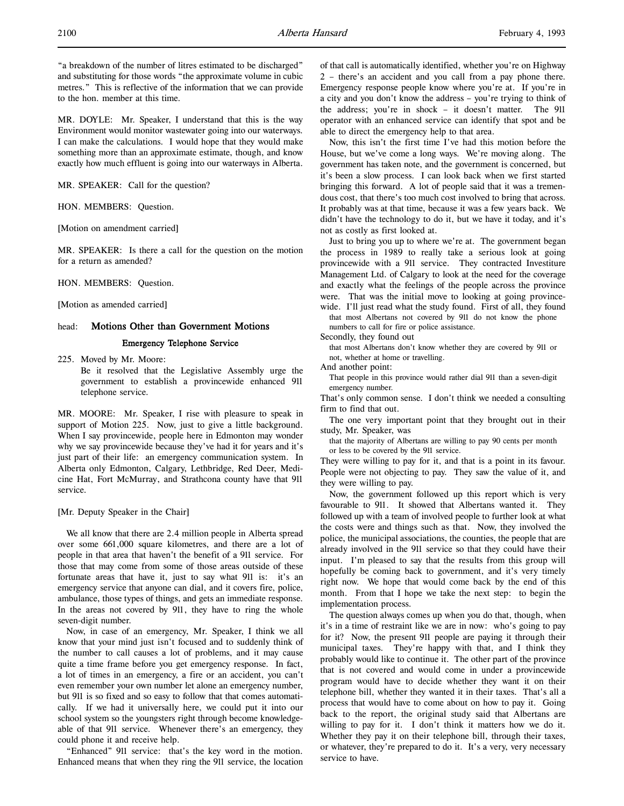"a breakdown of the number of litres estimated to be discharged" and substituting for those words "the approximate volume in cubic metres." This is reflective of the information that we can provide to the hon. member at this time.

MR. DOYLE: Mr. Speaker, I understand that this is the way Environment would monitor wastewater going into our waterways. I can make the calculations. I would hope that they would make something more than an approximate estimate, though, and know exactly how much effluent is going into our waterways in Alberta.

MR. SPEAKER: Call for the question?

HON. MEMBERS: Question.

[Motion on amendment carried]

MR. SPEAKER: Is there a call for the question on the motion for a return as amended?

HON. MEMBERS: Question.

[Motion as amended carried]

## head: Motions Other than Government Motions Emergency Telephone Service

225. Moved by Mr. Moore: Be it resolved that the Legislative Assembly urge the government to establish a provincewide enhanced 911 telephone service.

MR. MOORE: Mr. Speaker, I rise with pleasure to speak in support of Motion 225. Now, just to give a little background. When I say provincewide, people here in Edmonton may wonder why we say provincewide because they've had it for years and it's just part of their life: an emergency communication system. In Alberta only Edmonton, Calgary, Lethbridge, Red Deer, Medicine Hat, Fort McMurray, and Strathcona county have that 911 service.

[Mr. Deputy Speaker in the Chair]

We all know that there are 2.4 million people in Alberta spread over some 661,000 square kilometres, and there are a lot of people in that area that haven't the benefit of a 911 service. For those that may come from some of those areas outside of these fortunate areas that have it, just to say what 911 is: it's an emergency service that anyone can dial, and it covers fire, police, ambulance, those types of things, and gets an immediate response. In the areas not covered by 911, they have to ring the whole seven-digit number.

Now, in case of an emergency, Mr. Speaker, I think we all know that your mind just isn't focused and to suddenly think of the number to call causes a lot of problems, and it may cause quite a time frame before you get emergency response. In fact, a lot of times in an emergency, a fire or an accident, you can't even remember your own number let alone an emergency number, but 911 is so fixed and so easy to follow that that comes automatically. If we had it universally here, we could put it into our school system so the youngsters right through become knowledgeable of that 911 service. Whenever there's an emergency, they could phone it and receive help.

"Enhanced" 911 service: that's the key word in the motion. Enhanced means that when they ring the 911 service, the location of that call is automatically identified, whether you're on Highway 2 – there's an accident and you call from a pay phone there. Emergency response people know where you're at. If you're in a city and you don't know the address – you're trying to think of the address; you're in shock – it doesn't matter. The 911 operator with an enhanced service can identify that spot and be able to direct the emergency help to that area.

Now, this isn't the first time I've had this motion before the House, but we've come a long ways. We're moving along. The government has taken note, and the government is concerned, but it's been a slow process. I can look back when we first started bringing this forward. A lot of people said that it was a tremendous cost, that there's too much cost involved to bring that across. It probably was at that time, because it was a few years back. We didn't have the technology to do it, but we have it today, and it's not as costly as first looked at.

Just to bring you up to where we're at. The government began the process in 1989 to really take a serious look at going provincewide with a 911 service. They contracted Investiture Management Ltd. of Calgary to look at the need for the coverage and exactly what the feelings of the people across the province were. That was the initial move to looking at going provincewide. I'll just read what the study found. First of all, they found

that most Albertans not covered by 911 do not know the phone numbers to call for fire or police assistance.

Secondly, they found out

that most Albertans don't know whether they are covered by 911 or not, whether at home or travelling.

And another point:

That people in this province would rather dial 911 than a seven-digit emergency number.

That's only common sense. I don't think we needed a consulting firm to find that out.

The one very important point that they brought out in their study, Mr. Speaker, was

that the majority of Albertans are willing to pay 90 cents per month or less to be covered by the 911 service.

They were willing to pay for it, and that is a point in its favour. People were not objecting to pay. They saw the value of it, and they were willing to pay.

Now, the government followed up this report which is very favourable to 911. It showed that Albertans wanted it. They followed up with a team of involved people to further look at what the costs were and things such as that. Now, they involved the police, the municipal associations, the counties, the people that are already involved in the 911 service so that they could have their input. I'm pleased to say that the results from this group will hopefully be coming back to government, and it's very timely right now. We hope that would come back by the end of this month. From that I hope we take the next step: to begin the implementation process.

The question always comes up when you do that, though, when it's in a time of restraint like we are in now: who's going to pay for it? Now, the present 911 people are paying it through their municipal taxes. They're happy with that, and I think they probably would like to continue it. The other part of the province that is not covered and would come in under a provincewide program would have to decide whether they want it on their telephone bill, whether they wanted it in their taxes. That's all a process that would have to come about on how to pay it. Going back to the report, the original study said that Albertans are willing to pay for it. I don't think it matters how we do it. Whether they pay it on their telephone bill, through their taxes, or whatever, they're prepared to do it. It's a very, very necessary service to have.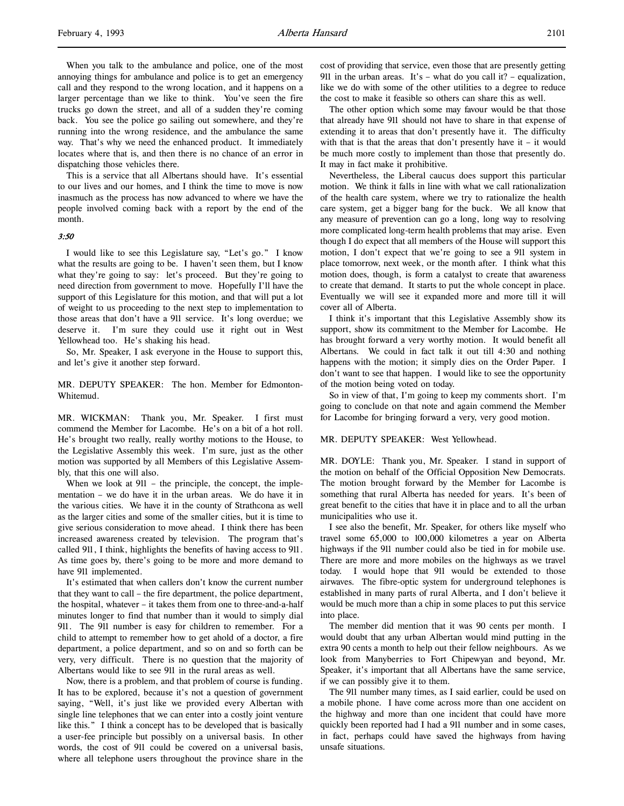When you talk to the ambulance and police, one of the most annoying things for ambulance and police is to get an emergency call and they respond to the wrong location, and it happens on a larger percentage than we like to think. You've seen the fire trucks go down the street, and all of a sudden they're coming back. You see the police go sailing out somewhere, and they're running into the wrong residence, and the ambulance the same way. That's why we need the enhanced product. It immediately locates where that is, and then there is no chance of an error in dispatching those vehicles there.

This is a service that all Albertans should have. It's essential to our lives and our homes, and I think the time to move is now inasmuch as the process has now advanced to where we have the people involved coming back with a report by the end of the month.

#### 3:50

I would like to see this Legislature say, "Let's go." I know what the results are going to be. I haven't seen them, but I know what they're going to say: let's proceed. But they're going to need direction from government to move. Hopefully I'll have the support of this Legislature for this motion, and that will put a lot of weight to us proceeding to the next step to implementation to those areas that don't have a 911 service. It's long overdue; we deserve it. I'm sure they could use it right out in West Yellowhead too. He's shaking his head.

So, Mr. Speaker, I ask everyone in the House to support this, and let's give it another step forward.

MR. DEPUTY SPEAKER: The hon. Member for Edmonton-Whitemud.

MR. WICKMAN: Thank you, Mr. Speaker. I first must commend the Member for Lacombe. He's on a bit of a hot roll. He's brought two really, really worthy motions to the House, to the Legislative Assembly this week. I'm sure, just as the other motion was supported by all Members of this Legislative Assembly, that this one will also.

When we look at 911 – the principle, the concept, the implementation – we do have it in the urban areas. We do have it in the various cities. We have it in the county of Strathcona as well as the larger cities and some of the smaller cities, but it is time to give serious consideration to move ahead. I think there has been increased awareness created by television. The program that's called 911, I think, highlights the benefits of having access to 911. As time goes by, there's going to be more and more demand to have 911 implemented.

It's estimated that when callers don't know the current number that they want to call – the fire department, the police department, the hospital, whatever – it takes them from one to three-and-a-half minutes longer to find that number than it would to simply dial 911. The 911 number is easy for children to remember. For a child to attempt to remember how to get ahold of a doctor, a fire department, a police department, and so on and so forth can be very, very difficult. There is no question that the majority of Albertans would like to see 911 in the rural areas as well.

Now, there is a problem, and that problem of course is funding. It has to be explored, because it's not a question of government saying, "Well, it's just like we provided every Albertan with single line telephones that we can enter into a costly joint venture like this." I think a concept has to be developed that is basically a user-fee principle but possibly on a universal basis. In other words, the cost of 911 could be covered on a universal basis, where all telephone users throughout the province share in the

cost of providing that service, even those that are presently getting 911 in the urban areas. It's – what do you call it? – equalization, like we do with some of the other utilities to a degree to reduce the cost to make it feasible so others can share this as well.

The other option which some may favour would be that those that already have 911 should not have to share in that expense of extending it to areas that don't presently have it. The difficulty with that is that the areas that don't presently have it – it would be much more costly to implement than those that presently do. It may in fact make it prohibitive.

Nevertheless, the Liberal caucus does support this particular motion. We think it falls in line with what we call rationalization of the health care system, where we try to rationalize the health care system, get a bigger bang for the buck. We all know that any measure of prevention can go a long, long way to resolving more complicated long-term health problems that may arise. Even though I do expect that all members of the House will support this motion, I don't expect that we're going to see a 911 system in place tomorrow, next week, or the month after. I think what this motion does, though, is form a catalyst to create that awareness to create that demand. It starts to put the whole concept in place. Eventually we will see it expanded more and more till it will cover all of Alberta.

I think it's important that this Legislative Assembly show its support, show its commitment to the Member for Lacombe. He has brought forward a very worthy motion. It would benefit all Albertans. We could in fact talk it out till 4:30 and nothing happens with the motion; it simply dies on the Order Paper. I don't want to see that happen. I would like to see the opportunity of the motion being voted on today.

So in view of that, I'm going to keep my comments short. I'm going to conclude on that note and again commend the Member for Lacombe for bringing forward a very, very good motion.

#### MR. DEPUTY SPEAKER: West Yellowhead.

MR. DOYLE: Thank you, Mr. Speaker. I stand in support of the motion on behalf of the Official Opposition New Democrats. The motion brought forward by the Member for Lacombe is something that rural Alberta has needed for years. It's been of great benefit to the cities that have it in place and to all the urban municipalities who use it.

I see also the benefit, Mr. Speaker, for others like myself who travel some 65,000 to 100,000 kilometres a year on Alberta highways if the 911 number could also be tied in for mobile use. There are more and more mobiles on the highways as we travel today. I would hope that 911 would be extended to those airwaves. The fibre-optic system for underground telephones is established in many parts of rural Alberta, and I don't believe it would be much more than a chip in some places to put this service into place.

The member did mention that it was 90 cents per month. I would doubt that any urban Albertan would mind putting in the extra 90 cents a month to help out their fellow neighbours. As we look from Manyberries to Fort Chipewyan and beyond, Mr. Speaker, it's important that all Albertans have the same service, if we can possibly give it to them.

The 911 number many times, as I said earlier, could be used on a mobile phone. I have come across more than one accident on the highway and more than one incident that could have more quickly been reported had I had a 911 number and in some cases, in fact, perhaps could have saved the highways from having unsafe situations.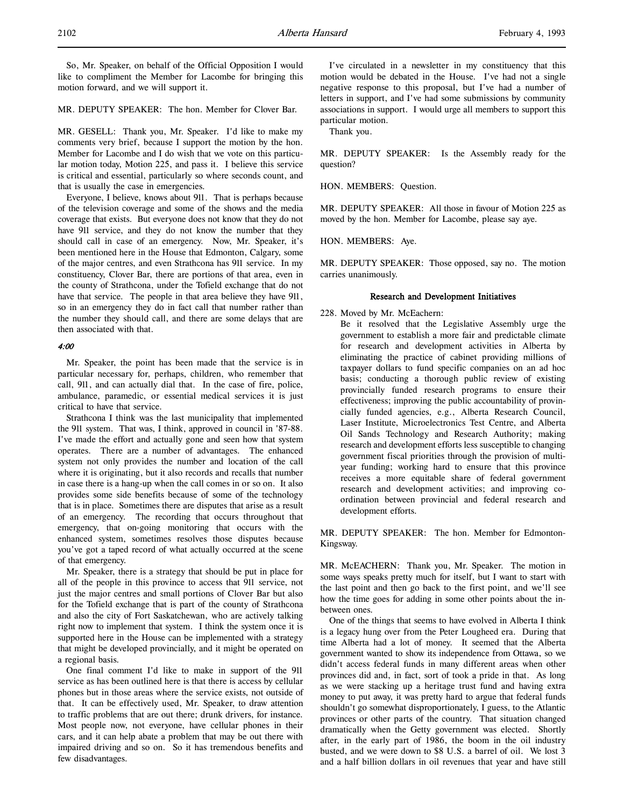2102 **Alberta Hansard** February 4, 1993

MR. DEPUTY SPEAKER: The hon. Member for Clover Bar.

MR. GESELL: Thank you, Mr. Speaker. I'd like to make my comments very brief, because I support the motion by the hon. Member for Lacombe and I do wish that we vote on this particular motion today, Motion 225, and pass it. I believe this service is critical and essential, particularly so where seconds count, and that is usually the case in emergencies.

Everyone, I believe, knows about 911. That is perhaps because of the television coverage and some of the shows and the media coverage that exists. But everyone does not know that they do not have 911 service, and they do not know the number that they should call in case of an emergency. Now, Mr. Speaker, it's been mentioned here in the House that Edmonton, Calgary, some of the major centres, and even Strathcona has 911 service. In my constituency, Clover Bar, there are portions of that area, even in the county of Strathcona, under the Tofield exchange that do not have that service. The people in that area believe they have 911, so in an emergency they do in fact call that number rather than the number they should call, and there are some delays that are then associated with that.

#### 4:00

Mr. Speaker, the point has been made that the service is in particular necessary for, perhaps, children, who remember that call, 911, and can actually dial that. In the case of fire, police, ambulance, paramedic, or essential medical services it is just critical to have that service.

Strathcona I think was the last municipality that implemented the 911 system. That was, I think, approved in council in '87-88. I've made the effort and actually gone and seen how that system operates. There are a number of advantages. The enhanced system not only provides the number and location of the call where it is originating, but it also records and recalls that number in case there is a hang-up when the call comes in or so on. It also provides some side benefits because of some of the technology that is in place. Sometimes there are disputes that arise as a result of an emergency. The recording that occurs throughout that emergency, that on-going monitoring that occurs with the enhanced system, sometimes resolves those disputes because you've got a taped record of what actually occurred at the scene of that emergency.

Mr. Speaker, there is a strategy that should be put in place for all of the people in this province to access that 911 service, not just the major centres and small portions of Clover Bar but also for the Tofield exchange that is part of the county of Strathcona and also the city of Fort Saskatchewan, who are actively talking right now to implement that system. I think the system once it is supported here in the House can be implemented with a strategy that might be developed provincially, and it might be operated on a regional basis.

One final comment I'd like to make in support of the 911 service as has been outlined here is that there is access by cellular phones but in those areas where the service exists, not outside of that. It can be effectively used, Mr. Speaker, to draw attention to traffic problems that are out there; drunk drivers, for instance. Most people now, not everyone, have cellular phones in their cars, and it can help abate a problem that may be out there with impaired driving and so on. So it has tremendous benefits and few disadvantages.

I've circulated in a newsletter in my constituency that this motion would be debated in the House. I've had not a single negative response to this proposal, but I've had a number of letters in support, and I've had some submissions by community associations in support. I would urge all members to support this particular motion.

Thank you.

MR. DEPUTY SPEAKER: Is the Assembly ready for the question?

HON. MEMBERS: Question.

MR. DEPUTY SPEAKER: All those in favour of Motion 225 as moved by the hon. Member for Lacombe, please say aye.

HON. MEMBERS: Aye.

MR. DEPUTY SPEAKER: Those opposed, say no. The motion carries unanimously.

## Research and Development Initiatives

228. Moved by Mr. McEachern:

Be it resolved that the Legislative Assembly urge the government to establish a more fair and predictable climate for research and development activities in Alberta by eliminating the practice of cabinet providing millions of taxpayer dollars to fund specific companies on an ad hoc basis; conducting a thorough public review of existing provincially funded research programs to ensure their effectiveness; improving the public accountability of provincially funded agencies, e.g., Alberta Research Council, Laser Institute, Microelectronics Test Centre, and Alberta Oil Sands Technology and Research Authority; making research and development efforts less susceptible to changing government fiscal priorities through the provision of multiyear funding; working hard to ensure that this province receives a more equitable share of federal government research and development activities; and improving coordination between provincial and federal research and development efforts.

MR. DEPUTY SPEAKER: The hon. Member for Edmonton-Kingsway.

MR. McEACHERN: Thank you, Mr. Speaker. The motion in some ways speaks pretty much for itself, but I want to start with the last point and then go back to the first point, and we'll see how the time goes for adding in some other points about the inbetween ones.

One of the things that seems to have evolved in Alberta I think is a legacy hung over from the Peter Lougheed era. During that time Alberta had a lot of money. It seemed that the Alberta government wanted to show its independence from Ottawa, so we didn't access federal funds in many different areas when other provinces did and, in fact, sort of took a pride in that. As long as we were stacking up a heritage trust fund and having extra money to put away, it was pretty hard to argue that federal funds shouldn't go somewhat disproportionately, I guess, to the Atlantic provinces or other parts of the country. That situation changed dramatically when the Getty government was elected. Shortly after, in the early part of 1986, the boom in the oil industry busted, and we were down to \$8 U.S. a barrel of oil. We lost 3 and a half billion dollars in oil revenues that year and have still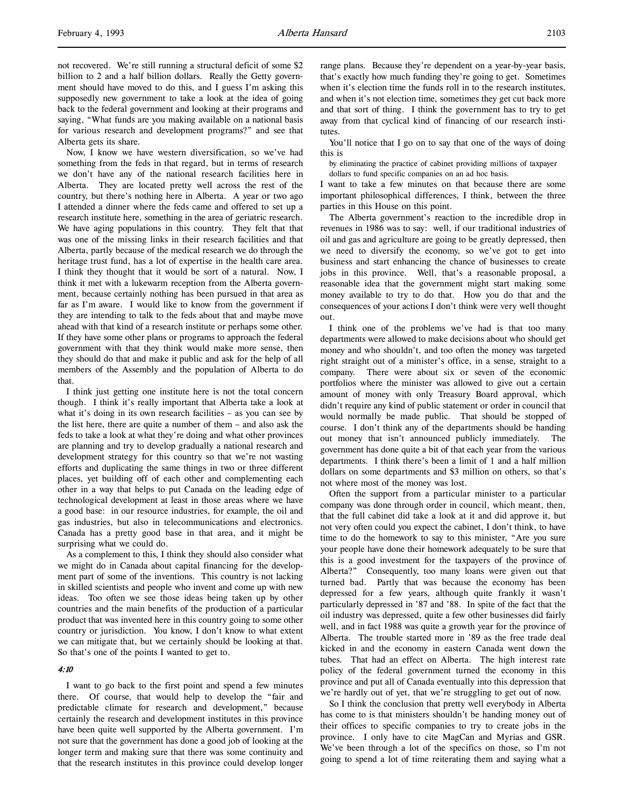not recovered. We're still running a structural deficit of some \$2 billion to 2 and a half billion dollars. Really the Getty government should have moved to do this, and I guess I'm asking this supposedly new government to take a look at the idea of going back to the federal government and looking at their programs and saying, "What funds are you making available on a national basis for various research and development programs?" and see that Alberta gets its share.

Now, I know we have western diversification, so we've had something from the feds in that regard, but in terms of research we don't have any of the national research facilities here in Alberta. They are located pretty well across the rest of the country, but there's nothing here in Alberta. A year or two ago I attended a dinner where the feds came and offered to set up a research institute here, something in the area of geriatric research. We have aging populations in this country. They felt that that was one of the missing links in their research facilities and that Alberta, partly because of the medical research we do through the heritage trust fund, has a lot of expertise in the health care area. I think they thought that it would be sort of a natural. Now, I think it met with a lukewarm reception from the Alberta government, because certainly nothing has been pursued in that area as far as I'm aware. I would like to know from the government if they are intending to talk to the feds about that and maybe move ahead with that kind of a research institute or perhaps some other. If they have some other plans or programs to approach the federal government with that they think would make more sense, then they should do that and make it public and ask for the help of all members of the Assembly and the population of Alberta to do that.

I think just getting one institute here is not the total concern though. I think it's really important that Alberta take a look at what it's doing in its own research facilities – as you can see by the list here, there are quite a number of them – and also ask the feds to take a look at what they're doing and what other provinces are planning and try to develop gradually a national research and development strategy for this country so that we're not wasting efforts and duplicating the same things in two or three different places, yet building off of each other and complementing each other in a way that helps to put Canada on the leading edge of technological development at least in those areas where we have a good base: in our resource industries, for example, the oil and gas industries, but also in telecommunications and electronics. Canada has a pretty good base in that area, and it might be surprising what we could do.

As a complement to this, I think they should also consider what we might do in Canada about capital financing for the development part of some of the inventions. This country is not lacking in skilled scientists and people who invent and come up with new ideas. Too often we see those ideas being taken up by other countries and the main benefits of the production of a particular product that was invented here in this country going to some other country or jurisdiction. You know, I don't know to what extent we can mitigate that, but we certainly should be looking at that. So that's one of the points I wanted to get to.

#### 4:10

I want to go back to the first point and spend a few minutes there. Of course, that would help to develop the "fair and predictable climate for research and development," because certainly the research and development institutes in this province have been quite well supported by the Alberta government. I'm not sure that the government has done a good job of looking at the longer term and making sure that there was some continuity and that the research institutes in this province could develop longer

range plans. Because they're dependent on a year-by-year basis, that's exactly how much funding they're going to get. Sometimes when it's election time the funds roll in to the research institutes, and when it's not election time, sometimes they get cut back more and that sort of thing. I think the government has to try to get away from that cyclical kind of financing of our research institutes.

You'll notice that I go on to say that one of the ways of doing this is

by eliminating the practice of cabinet providing millions of taxpayer dollars to fund specific companies on an ad hoc basis.

I want to take a few minutes on that because there are some important philosophical differences, I think, between the three parties in this House on this point.

The Alberta government's reaction to the incredible drop in revenues in 1986 was to say: well, if our traditional industries of oil and gas and agriculture are going to be greatly depressed, then we need to diversify the economy, so we've got to get into business and start enhancing the chance of businesses to create jobs in this province. Well, that's a reasonable proposal, a reasonable idea that the government might start making some money available to try to do that. How you do that and the consequences of your actions I don't think were very well thought out.

I think one of the problems we've had is that too many departments were allowed to make decisions about who should get money and who shouldn't, and too often the money was targeted right straight out of a minister's office, in a sense, straight to a company. There were about six or seven of the economic portfolios where the minister was allowed to give out a certain amount of money with only Treasury Board approval, which didn't require any kind of public statement or order in council that would normally be made public. That should be stopped of course. I don't think any of the departments should be handing out money that isn't announced publicly immediately. The government has done quite a bit of that each year from the various departments. I think there's been a limit of 1 and a half million dollars on some departments and \$3 million on others, so that's not where most of the money was lost.

Often the support from a particular minister to a particular company was done through order in council, which meant, then, that the full cabinet did take a look at it and did approve it, but not very often could you expect the cabinet, I don't think, to have time to do the homework to say to this minister, "Are you sure your people have done their homework adequately to be sure that this is a good investment for the taxpayers of the province of Alberta?" Consequently, too many loans were given out that turned bad. Partly that was because the economy has been depressed for a few years, although quite frankly it wasn't particularly depressed in '87 and '88. In spite of the fact that the oil industry was depressed, quite a few other businesses did fairly well, and in fact 1988 was quite a growth year for the province of Alberta. The trouble started more in '89 as the free trade deal kicked in and the economy in eastern Canada went down the tubes. That had an effect on Alberta. The high interest rate policy of the federal government turned the economy in this province and put all of Canada eventually into this depression that we're hardly out of yet, that we're struggling to get out of now.

So I think the conclusion that pretty well everybody in Alberta has come to is that ministers shouldn't be handing money out of their offices to specific companies to try to create jobs in the province. I only have to cite MagCan and Myrias and GSR. We've been through a lot of the specifics on those, so I'm not going to spend a lot of time reiterating them and saying what a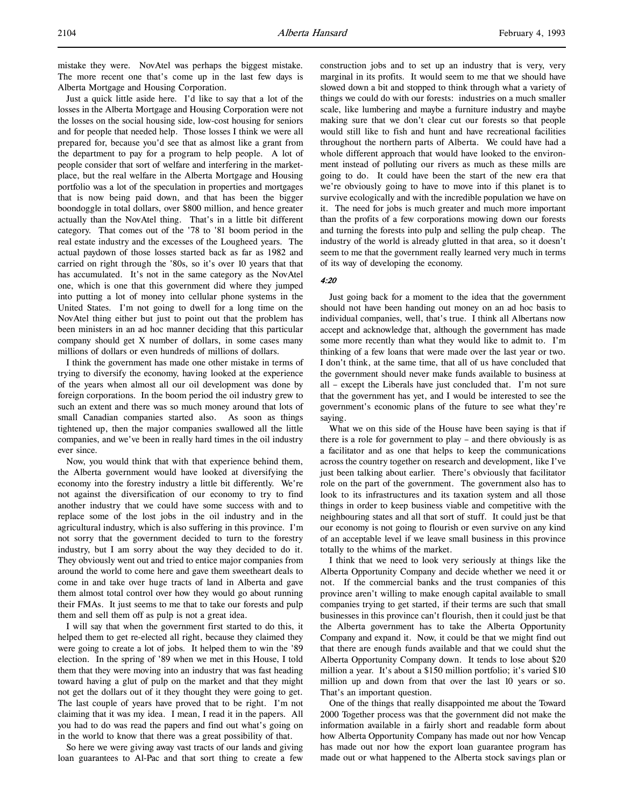mistake they were. NovAtel was perhaps the biggest mistake. The more recent one that's come up in the last few days is Alberta Mortgage and Housing Corporation.

Just a quick little aside here. I'd like to say that a lot of the losses in the Alberta Mortgage and Housing Corporation were not the losses on the social housing side, low-cost housing for seniors and for people that needed help. Those losses I think we were all prepared for, because you'd see that as almost like a grant from the department to pay for a program to help people. A lot of people consider that sort of welfare and interfering in the marketplace, but the real welfare in the Alberta Mortgage and Housing portfolio was a lot of the speculation in properties and mortgages that is now being paid down, and that has been the bigger boondoggle in total dollars, over \$800 million, and hence greater actually than the NovAtel thing. That's in a little bit different category. That comes out of the '78 to '81 boom period in the real estate industry and the excesses of the Lougheed years. The actual paydown of those losses started back as far as 1982 and carried on right through the '80s, so it's over 10 years that that has accumulated. It's not in the same category as the NovAtel one, which is one that this government did where they jumped into putting a lot of money into cellular phone systems in the United States. I'm not going to dwell for a long time on the NovAtel thing either but just to point out that the problem has been ministers in an ad hoc manner deciding that this particular company should get X number of dollars, in some cases many millions of dollars or even hundreds of millions of dollars.

I think the government has made one other mistake in terms of trying to diversify the economy, having looked at the experience of the years when almost all our oil development was done by foreign corporations. In the boom period the oil industry grew to such an extent and there was so much money around that lots of small Canadian companies started also. As soon as things tightened up, then the major companies swallowed all the little companies, and we've been in really hard times in the oil industry ever since.

Now, you would think that with that experience behind them, the Alberta government would have looked at diversifying the economy into the forestry industry a little bit differently. We're not against the diversification of our economy to try to find another industry that we could have some success with and to replace some of the lost jobs in the oil industry and in the agricultural industry, which is also suffering in this province. I'm not sorry that the government decided to turn to the forestry industry, but I am sorry about the way they decided to do it. They obviously went out and tried to entice major companies from around the world to come here and gave them sweetheart deals to come in and take over huge tracts of land in Alberta and gave them almost total control over how they would go about running their FMAs. It just seems to me that to take our forests and pulp them and sell them off as pulp is not a great idea.

I will say that when the government first started to do this, it helped them to get re-elected all right, because they claimed they were going to create a lot of jobs. It helped them to win the '89 election. In the spring of '89 when we met in this House, I told them that they were moving into an industry that was fast heading toward having a glut of pulp on the market and that they might not get the dollars out of it they thought they were going to get. The last couple of years have proved that to be right. I'm not claiming that it was my idea. I mean, I read it in the papers. All you had to do was read the papers and find out what's going on in the world to know that there was a great possibility of that.

So here we were giving away vast tracts of our lands and giving loan guarantees to Al-Pac and that sort thing to create a few construction jobs and to set up an industry that is very, very marginal in its profits. It would seem to me that we should have slowed down a bit and stopped to think through what a variety of things we could do with our forests: industries on a much smaller scale, like lumbering and maybe a furniture industry and maybe making sure that we don't clear cut our forests so that people would still like to fish and hunt and have recreational facilities throughout the northern parts of Alberta. We could have had a whole different approach that would have looked to the environment instead of polluting our rivers as much as these mills are going to do. It could have been the start of the new era that we're obviously going to have to move into if this planet is to survive ecologically and with the incredible population we have on it. The need for jobs is much greater and much more important than the profits of a few corporations mowing down our forests and turning the forests into pulp and selling the pulp cheap. The industry of the world is already glutted in that area, so it doesn't seem to me that the government really learned very much in terms of its way of developing the economy.

#### 4:20

Just going back for a moment to the idea that the government should not have been handing out money on an ad hoc basis to individual companies, well, that's true. I think all Albertans now accept and acknowledge that, although the government has made some more recently than what they would like to admit to. I'm thinking of a few loans that were made over the last year or two. I don't think, at the same time, that all of us have concluded that the government should never make funds available to business at all – except the Liberals have just concluded that. I'm not sure that the government has yet, and I would be interested to see the government's economic plans of the future to see what they're saying.

What we on this side of the House have been saying is that if there is a role for government to play – and there obviously is as a facilitator and as one that helps to keep the communications across the country together on research and development, like I've just been talking about earlier. There's obviously that facilitator role on the part of the government. The government also has to look to its infrastructures and its taxation system and all those things in order to keep business viable and competitive with the neighbouring states and all that sort of stuff. It could just be that our economy is not going to flourish or even survive on any kind of an acceptable level if we leave small business in this province totally to the whims of the market.

I think that we need to look very seriously at things like the Alberta Opportunity Company and decide whether we need it or not. If the commercial banks and the trust companies of this province aren't willing to make enough capital available to small companies trying to get started, if their terms are such that small businesses in this province can't flourish, then it could just be that the Alberta government has to take the Alberta Opportunity Company and expand it. Now, it could be that we might find out that there are enough funds available and that we could shut the Alberta Opportunity Company down. It tends to lose about \$20 million a year. It's about a \$150 million portfolio; it's varied \$10 million up and down from that over the last 10 years or so. That's an important question.

One of the things that really disappointed me about the Toward 2000 Together process was that the government did not make the information available in a fairly short and readable form about how Alberta Opportunity Company has made out nor how Vencap has made out nor how the export loan guarantee program has made out or what happened to the Alberta stock savings plan or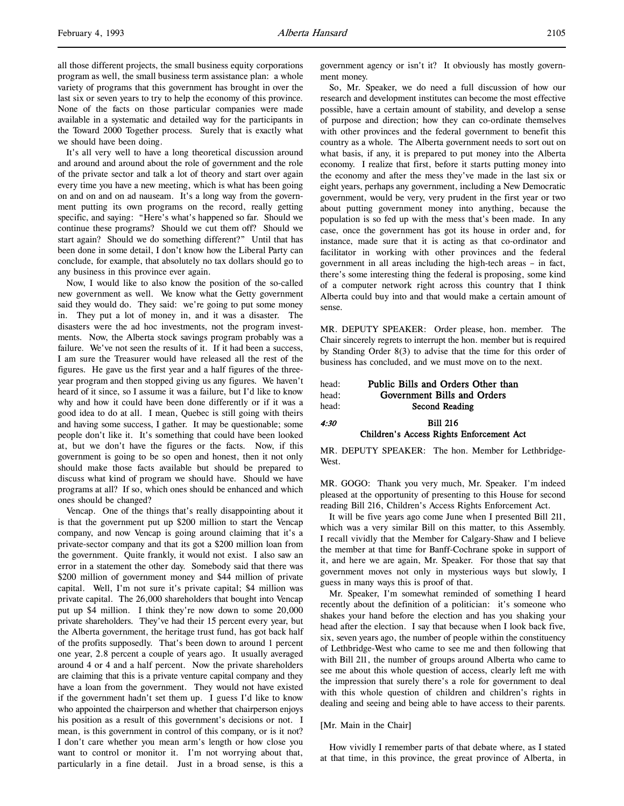all those different projects, the small business equity corporations program as well, the small business term assistance plan: a whole variety of programs that this government has brought in over the last six or seven years to try to help the economy of this province. None of the facts on those particular companies were made available in a systematic and detailed way for the participants in the Toward 2000 Together process. Surely that is exactly what we should have been doing.

It's all very well to have a long theoretical discussion around and around and around about the role of government and the role of the private sector and talk a lot of theory and start over again every time you have a new meeting, which is what has been going on and on and on ad nauseam. It's a long way from the government putting its own programs on the record, really getting specific, and saying: "Here's what's happened so far. Should we continue these programs? Should we cut them off? Should we start again? Should we do something different?" Until that has been done in some detail, I don't know how the Liberal Party can conclude, for example, that absolutely no tax dollars should go to any business in this province ever again.

Now, I would like to also know the position of the so-called new government as well. We know what the Getty government said they would do. They said: we're going to put some money in. They put a lot of money in, and it was a disaster. The disasters were the ad hoc investments, not the program investments. Now, the Alberta stock savings program probably was a failure. We've not seen the results of it. If it had been a success, I am sure the Treasurer would have released all the rest of the figures. He gave us the first year and a half figures of the threeyear program and then stopped giving us any figures. We haven't heard of it since, so I assume it was a failure, but I'd like to know why and how it could have been done differently or if it was a good idea to do at all. I mean, Quebec is still going with theirs and having some success, I gather. It may be questionable; some people don't like it. It's something that could have been looked at, but we don't have the figures or the facts. Now, if this government is going to be so open and honest, then it not only should make those facts available but should be prepared to discuss what kind of program we should have. Should we have programs at all? If so, which ones should be enhanced and which ones should be changed?

Vencap. One of the things that's really disappointing about it is that the government put up \$200 million to start the Vencap company, and now Vencap is going around claiming that it's a private-sector company and that its got a \$200 million loan from the government. Quite frankly, it would not exist. I also saw an error in a statement the other day. Somebody said that there was \$200 million of government money and \$44 million of private capital. Well, I'm not sure it's private capital; \$4 million was private capital. The 26,000 shareholders that bought into Vencap put up \$4 million. I think they're now down to some 20,000 private shareholders. They've had their 15 percent every year, but the Alberta government, the heritage trust fund, has got back half of the profits supposedly. That's been down to around 1 percent one year, 2.8 percent a couple of years ago. It usually averaged around 4 or 4 and a half percent. Now the private shareholders are claiming that this is a private venture capital company and they have a loan from the government. They would not have existed if the government hadn't set them up. I guess I'd like to know who appointed the chairperson and whether that chairperson enjoys his position as a result of this government's decisions or not. I mean, is this government in control of this company, or is it not? I don't care whether you mean arm's length or how close you want to control or monitor it. I'm not worrying about that, particularly in a fine detail. Just in a broad sense, is this a

government agency or isn't it? It obviously has mostly government money.

So, Mr. Speaker, we do need a full discussion of how our research and development institutes can become the most effective possible, have a certain amount of stability, and develop a sense of purpose and direction; how they can co-ordinate themselves with other provinces and the federal government to benefit this country as a whole. The Alberta government needs to sort out on what basis, if any, it is prepared to put money into the Alberta economy. I realize that first, before it starts putting money into the economy and after the mess they've made in the last six or eight years, perhaps any government, including a New Democratic government, would be very, very prudent in the first year or two about putting government money into anything, because the population is so fed up with the mess that's been made. In any case, once the government has got its house in order and, for instance, made sure that it is acting as that co-ordinator and facilitator in working with other provinces and the federal government in all areas including the high-tech areas – in fact, there's some interesting thing the federal is proposing, some kind of a computer network right across this country that I think Alberta could buy into and that would make a certain amount of sense.

MR. DEPUTY SPEAKER: Order please, hon. member. The Chair sincerely regrets to interrupt the hon. member but is required by Standing Order 8(3) to advise that the time for this order of business has concluded, and we must move on to the next.

| head: | Public Bills and Orders Other than       |
|-------|------------------------------------------|
| head: | Government Bills and Orders              |
| head: | Second Reading                           |
| 4:30  | <b>Bill 216</b>                          |
|       | Children's Access Rights Enforcement Act |

MR. DEPUTY SPEAKER: The hon. Member for Lethbridge-West.

MR. GOGO: Thank you very much, Mr. Speaker. I'm indeed pleased at the opportunity of presenting to this House for second reading Bill 216, Children's Access Rights Enforcement Act.

It will be five years ago come June when I presented Bill 211, which was a very similar Bill on this matter, to this Assembly. I recall vividly that the Member for Calgary-Shaw and I believe the member at that time for Banff-Cochrane spoke in support of it, and here we are again, Mr. Speaker. For those that say that government moves not only in mysterious ways but slowly, I guess in many ways this is proof of that.

Mr. Speaker, I'm somewhat reminded of something I heard recently about the definition of a politician: it's someone who shakes your hand before the election and has you shaking your head after the election. I say that because when I look back five, six, seven years ago, the number of people within the constituency of Lethbridge-West who came to see me and then following that with Bill 211, the number of groups around Alberta who came to see me about this whole question of access, clearly left me with the impression that surely there's a role for government to deal with this whole question of children and children's rights in dealing and seeing and being able to have access to their parents.

#### [Mr. Main in the Chair]

How vividly I remember parts of that debate where, as I stated at that time, in this province, the great province of Alberta, in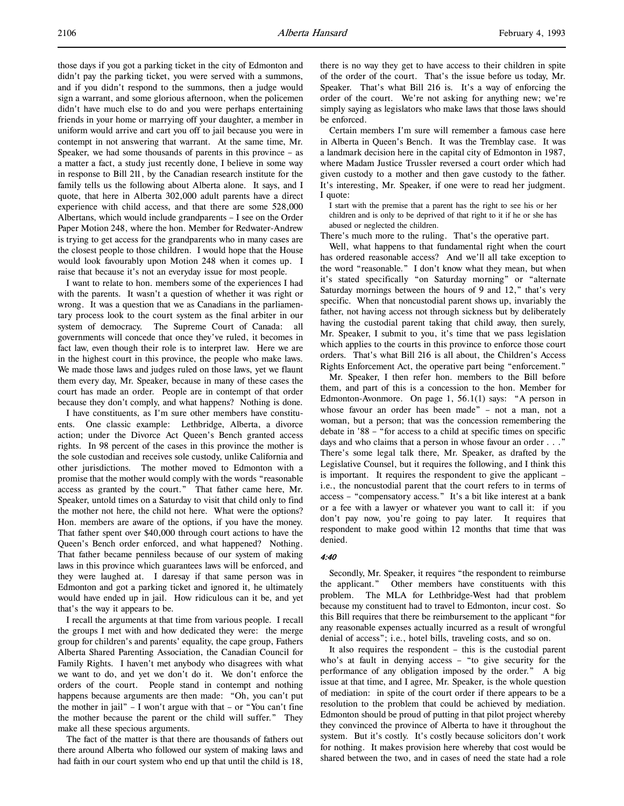those days if you got a parking ticket in the city of Edmonton and didn't pay the parking ticket, you were served with a summons, and if you didn't respond to the summons, then a judge would sign a warrant, and some glorious afternoon, when the policemen didn't have much else to do and you were perhaps entertaining friends in your home or marrying off your daughter, a member in uniform would arrive and cart you off to jail because you were in contempt in not answering that warrant. At the same time, Mr. Speaker, we had some thousands of parents in this province – as a matter a fact, a study just recently done, I believe in some way in response to Bill 211, by the Canadian research institute for the family tells us the following about Alberta alone. It says, and I quote, that here in Alberta 302,000 adult parents have a direct experience with child access, and that there are some 528,000 Albertans, which would include grandparents – I see on the Order Paper Motion 248, where the hon. Member for Redwater-Andrew is trying to get access for the grandparents who in many cases are the closest people to those children. I would hope that the House would look favourably upon Motion 248 when it comes up. I raise that because it's not an everyday issue for most people.

I want to relate to hon. members some of the experiences I had with the parents. It wasn't a question of whether it was right or wrong. It was a question that we as Canadians in the parliamentary process look to the court system as the final arbiter in our system of democracy. The Supreme Court of Canada: all governments will concede that once they've ruled, it becomes in fact law, even though their role is to interpret law. Here we are in the highest court in this province, the people who make laws. We made those laws and judges ruled on those laws, yet we flaunt them every day, Mr. Speaker, because in many of these cases the court has made an order. People are in contempt of that order because they don't comply, and what happens? Nothing is done.

I have constituents, as I'm sure other members have constituents. One classic example: Lethbridge, Alberta, a divorce action; under the Divorce Act Queen's Bench granted access rights. In 98 percent of the cases in this province the mother is the sole custodian and receives sole custody, unlike California and other jurisdictions. The mother moved to Edmonton with a promise that the mother would comply with the words "reasonable access as granted by the court." That father came here, Mr. Speaker, untold times on a Saturday to visit that child only to find the mother not here, the child not here. What were the options? Hon. members are aware of the options, if you have the money. That father spent over \$40,000 through court actions to have the Queen's Bench order enforced, and what happened? Nothing. That father became penniless because of our system of making laws in this province which guarantees laws will be enforced, and they were laughed at. I daresay if that same person was in Edmonton and got a parking ticket and ignored it, he ultimately would have ended up in jail. How ridiculous can it be, and yet that's the way it appears to be.

I recall the arguments at that time from various people. I recall the groups I met with and how dedicated they were: the merge group for children's and parents' equality, the cape group, Fathers Alberta Shared Parenting Association, the Canadian Council for Family Rights. I haven't met anybody who disagrees with what we want to do, and yet we don't do it. We don't enforce the orders of the court. People stand in contempt and nothing happens because arguments are then made: "Oh, you can't put the mother in jail" – I won't argue with that – or "You can't fine the mother because the parent or the child will suffer." They make all these specious arguments.

The fact of the matter is that there are thousands of fathers out there around Alberta who followed our system of making laws and had faith in our court system who end up that until the child is 18,

there is no way they get to have access to their children in spite of the order of the court. That's the issue before us today, Mr. Speaker. That's what Bill 216 is. It's a way of enforcing the order of the court. We're not asking for anything new; we're simply saying as legislators who make laws that those laws should be enforced.

Certain members I'm sure will remember a famous case here in Alberta in Queen's Bench. It was the Tremblay case. It was a landmark decision here in the capital city of Edmonton in 1987, where Madam Justice Trussler reversed a court order which had given custody to a mother and then gave custody to the father. It's interesting, Mr. Speaker, if one were to read her judgment. I quote:

I start with the premise that a parent has the right to see his or her children and is only to be deprived of that right to it if he or she has abused or neglected the children.

There's much more to the ruling. That's the operative part.

Well, what happens to that fundamental right when the court has ordered reasonable access? And we'll all take exception to the word "reasonable." I don't know what they mean, but when it's stated specifically "on Saturday morning" or "alternate Saturday mornings between the hours of 9 and 12," that's very specific. When that noncustodial parent shows up, invariably the father, not having access not through sickness but by deliberately having the custodial parent taking that child away, then surely, Mr. Speaker, I submit to you, it's time that we pass legislation which applies to the courts in this province to enforce those court orders. That's what Bill 216 is all about, the Children's Access Rights Enforcement Act, the operative part being "enforcement."

Mr. Speaker, I then refer hon. members to the Bill before them, and part of this is a concession to the hon. Member for Edmonton-Avonmore. On page 1, 56.1(1) says: "A person in whose favour an order has been made" – not a man, not a woman, but a person; that was the concession remembering the debate in '88 – "for access to a child at specific times on specific days and who claims that a person in whose favour an order . . ." There's some legal talk there, Mr. Speaker, as drafted by the Legislative Counsel, but it requires the following, and I think this is important. It requires the respondent to give the applicant – i.e., the noncustodial parent that the court refers to in terms of access – "compensatory access." It's a bit like interest at a bank or a fee with a lawyer or whatever you want to call it: if you don't pay now, you're going to pay later. It requires that respondent to make good within 12 months that time that was denied.

#### 4:40

Secondly, Mr. Speaker, it requires "the respondent to reimburse the applicant." Other members have constituents with this problem. The MLA for Lethbridge-West had that problem because my constituent had to travel to Edmonton, incur cost. So this Bill requires that there be reimbursement to the applicant "for any reasonable expenses actually incurred as a result of wrongful denial of access"; i.e., hotel bills, traveling costs, and so on.

It also requires the respondent – this is the custodial parent who's at fault in denying access – "to give security for the performance of any obligation imposed by the order." A big issue at that time, and I agree, Mr. Speaker, is the whole question of mediation: in spite of the court order if there appears to be a resolution to the problem that could be achieved by mediation. Edmonton should be proud of putting in that pilot project whereby they convinced the province of Alberta to have it throughout the system. But it's costly. It's costly because solicitors don't work for nothing. It makes provision here whereby that cost would be shared between the two, and in cases of need the state had a role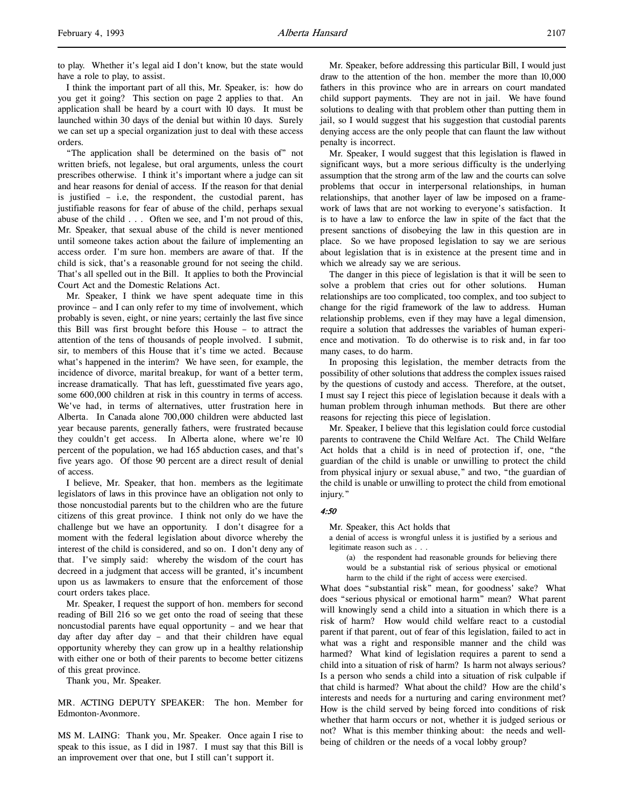to play. Whether it's legal aid I don't know, but the state would have a role to play, to assist.

I think the important part of all this, Mr. Speaker, is: how do you get it going? This section on page 2 applies to that. An application shall be heard by a court with 10 days. It must be launched within 30 days of the denial but within 10 days. Surely we can set up a special organization just to deal with these access orders.

"The application shall be determined on the basis of" not written briefs, not legalese, but oral arguments, unless the court prescribes otherwise. I think it's important where a judge can sit and hear reasons for denial of access. If the reason for that denial is justified – i.e, the respondent, the custodial parent, has justifiable reasons for fear of abuse of the child, perhaps sexual abuse of the child . . . Often we see, and I'm not proud of this, Mr. Speaker, that sexual abuse of the child is never mentioned until someone takes action about the failure of implementing an access order. I'm sure hon. members are aware of that. If the child is sick, that's a reasonable ground for not seeing the child. That's all spelled out in the Bill. It applies to both the Provincial Court Act and the Domestic Relations Act.

Mr. Speaker, I think we have spent adequate time in this province – and I can only refer to my time of involvement, which probably is seven, eight, or nine years; certainly the last five since this Bill was first brought before this House – to attract the attention of the tens of thousands of people involved. I submit, sir, to members of this House that it's time we acted. Because what's happened in the interim? We have seen, for example, the incidence of divorce, marital breakup, for want of a better term, increase dramatically. That has left, guesstimated five years ago, some 600,000 children at risk in this country in terms of access. We've had, in terms of alternatives, utter frustration here in Alberta. In Canada alone 700,000 children were abducted last year because parents, generally fathers, were frustrated because they couldn't get access. In Alberta alone, where we're 10 percent of the population, we had 165 abduction cases, and that's five years ago. Of those 90 percent are a direct result of denial of access.

I believe, Mr. Speaker, that hon. members as the legitimate legislators of laws in this province have an obligation not only to those noncustodial parents but to the children who are the future citizens of this great province. I think not only do we have the challenge but we have an opportunity. I don't disagree for a moment with the federal legislation about divorce whereby the interest of the child is considered, and so on. I don't deny any of that. I've simply said: whereby the wisdom of the court has decreed in a judgment that access will be granted, it's incumbent upon us as lawmakers to ensure that the enforcement of those court orders takes place.

Mr. Speaker, I request the support of hon. members for second reading of Bill 216 so we get onto the road of seeing that these noncustodial parents have equal opportunity – and we hear that day after day after day – and that their children have equal opportunity whereby they can grow up in a healthy relationship with either one or both of their parents to become better citizens of this great province.

Thank you, Mr. Speaker.

MR. ACTING DEPUTY SPEAKER: The hon. Member for Edmonton-Avonmore.

MS M. LAING: Thank you, Mr. Speaker. Once again I rise to speak to this issue, as I did in 1987. I must say that this Bill is an improvement over that one, but I still can't support it.

Mr. Speaker, before addressing this particular Bill, I would just draw to the attention of the hon. member the more than 10,000 fathers in this province who are in arrears on court mandated child support payments. They are not in jail. We have found solutions to dealing with that problem other than putting them in jail, so I would suggest that his suggestion that custodial parents denying access are the only people that can flaunt the law without penalty is incorrect.

Mr. Speaker, I would suggest that this legislation is flawed in significant ways, but a more serious difficulty is the underlying assumption that the strong arm of the law and the courts can solve problems that occur in interpersonal relationships, in human relationships, that another layer of law be imposed on a framework of laws that are not working to everyone's satisfaction. It is to have a law to enforce the law in spite of the fact that the present sanctions of disobeying the law in this question are in place. So we have proposed legislation to say we are serious about legislation that is in existence at the present time and in which we already say we are serious.

The danger in this piece of legislation is that it will be seen to solve a problem that cries out for other solutions. Human relationships are too complicated, too complex, and too subject to change for the rigid framework of the law to address. Human relationship problems, even if they may have a legal dimension, require a solution that addresses the variables of human experience and motivation. To do otherwise is to risk and, in far too many cases, to do harm.

In proposing this legislation, the member detracts from the possibility of other solutions that address the complex issues raised by the questions of custody and access. Therefore, at the outset, I must say I reject this piece of legislation because it deals with a human problem through inhuman methods. But there are other reasons for rejecting this piece of legislation.

Mr. Speaker, I believe that this legislation could force custodial parents to contravene the Child Welfare Act. The Child Welfare Act holds that a child is in need of protection if, one, "the guardian of the child is unable or unwilling to protect the child from physical injury or sexual abuse," and two, "the guardian of the child is unable or unwilling to protect the child from emotional injury."

#### 4:50

Mr. Speaker, this Act holds that

a denial of access is wrongful unless it is justified by a serious and legitimate reason such as . . .

(a) the respondent had reasonable grounds for believing there would be a substantial risk of serious physical or emotional harm to the child if the right of access were exercised.

What does "substantial risk" mean, for goodness' sake? What does "serious physical or emotional harm" mean? What parent will knowingly send a child into a situation in which there is a risk of harm? How would child welfare react to a custodial parent if that parent, out of fear of this legislation, failed to act in what was a right and responsible manner and the child was harmed? What kind of legislation requires a parent to send a child into a situation of risk of harm? Is harm not always serious? Is a person who sends a child into a situation of risk culpable if that child is harmed? What about the child? How are the child's interests and needs for a nurturing and caring environment met? How is the child served by being forced into conditions of risk whether that harm occurs or not, whether it is judged serious or not? What is this member thinking about: the needs and wellbeing of children or the needs of a vocal lobby group?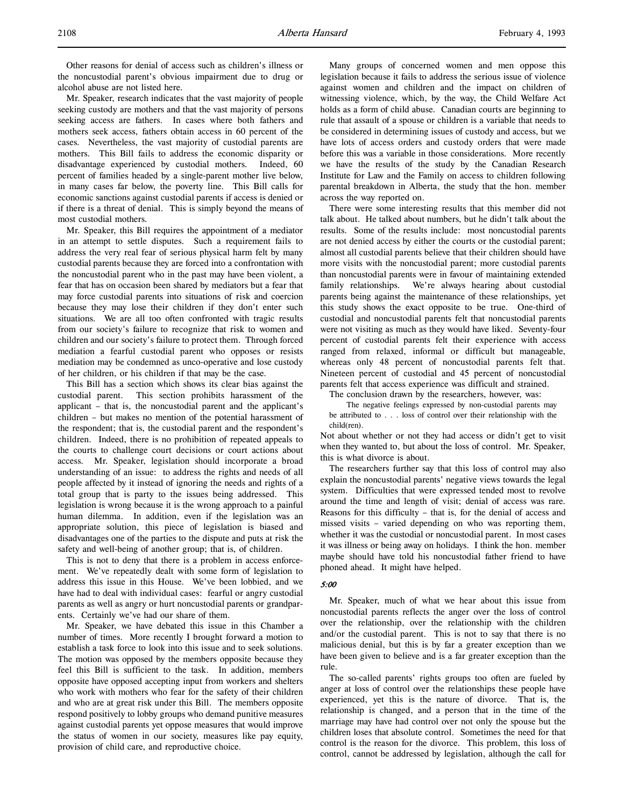Other reasons for denial of access such as children's illness or the noncustodial parent's obvious impairment due to drug or alcohol abuse are not listed here.

Mr. Speaker, research indicates that the vast majority of people seeking custody are mothers and that the vast majority of persons seeking access are fathers. In cases where both fathers and mothers seek access, fathers obtain access in 60 percent of the cases. Nevertheless, the vast majority of custodial parents are mothers. This Bill fails to address the economic disparity or disadvantage experienced by custodial mothers. Indeed, 60 percent of families headed by a single-parent mother live below, in many cases far below, the poverty line. This Bill calls for economic sanctions against custodial parents if access is denied or if there is a threat of denial. This is simply beyond the means of most custodial mothers.

Mr. Speaker, this Bill requires the appointment of a mediator in an attempt to settle disputes. Such a requirement fails to address the very real fear of serious physical harm felt by many custodial parents because they are forced into a confrontation with the noncustodial parent who in the past may have been violent, a fear that has on occasion been shared by mediators but a fear that may force custodial parents into situations of risk and coercion because they may lose their children if they don't enter such situations. We are all too often confronted with tragic results from our society's failure to recognize that risk to women and children and our society's failure to protect them. Through forced mediation a fearful custodial parent who opposes or resists mediation may be condemned as unco-operative and lose custody of her children, or his children if that may be the case.

This Bill has a section which shows its clear bias against the custodial parent. This section prohibits harassment of the applicant – that is, the noncustodial parent and the applicant's children – but makes no mention of the potential harassment of the respondent; that is, the custodial parent and the respondent's children. Indeed, there is no prohibition of repeated appeals to the courts to challenge court decisions or court actions about access. Mr. Speaker, legislation should incorporate a broad understanding of an issue: to address the rights and needs of all people affected by it instead of ignoring the needs and rights of a total group that is party to the issues being addressed. This legislation is wrong because it is the wrong approach to a painful human dilemma. In addition, even if the legislation was an appropriate solution, this piece of legislation is biased and disadvantages one of the parties to the dispute and puts at risk the safety and well-being of another group; that is, of children.

This is not to deny that there is a problem in access enforcement. We've repeatedly dealt with some form of legislation to address this issue in this House. We've been lobbied, and we have had to deal with individual cases: fearful or angry custodial parents as well as angry or hurt noncustodial parents or grandparents. Certainly we've had our share of them.

Mr. Speaker, we have debated this issue in this Chamber a number of times. More recently I brought forward a motion to establish a task force to look into this issue and to seek solutions. The motion was opposed by the members opposite because they feel this Bill is sufficient to the task. In addition, members opposite have opposed accepting input from workers and shelters who work with mothers who fear for the safety of their children and who are at great risk under this Bill. The members opposite respond positively to lobby groups who demand punitive measures against custodial parents yet oppose measures that would improve the status of women in our society, measures like pay equity, provision of child care, and reproductive choice.

Many groups of concerned women and men oppose this legislation because it fails to address the serious issue of violence against women and children and the impact on children of witnessing violence, which, by the way, the Child Welfare Act holds as a form of child abuse. Canadian courts are beginning to rule that assault of a spouse or children is a variable that needs to be considered in determining issues of custody and access, but we have lots of access orders and custody orders that were made before this was a variable in those considerations. More recently we have the results of the study by the Canadian Research Institute for Law and the Family on access to children following parental breakdown in Alberta, the study that the hon. member across the way reported on.

There were some interesting results that this member did not talk about. He talked about numbers, but he didn't talk about the results. Some of the results include: most noncustodial parents are not denied access by either the courts or the custodial parent; almost all custodial parents believe that their children should have more visits with the noncustodial parent; more custodial parents than noncustodial parents were in favour of maintaining extended family relationships. We're always hearing about custodial parents being against the maintenance of these relationships, yet this study shows the exact opposite to be true. One-third of custodial and noncustodial parents felt that noncustodial parents were not visiting as much as they would have liked. Seventy-four percent of custodial parents felt their experience with access ranged from relaxed, informal or difficult but manageable, whereas only 48 percent of noncustodial parents felt that. Nineteen percent of custodial and 45 percent of noncustodial parents felt that access experience was difficult and strained.

The conclusion drawn by the researchers, however, was:

The negative feelings expressed by non-custodial parents may be attributed to . . . loss of control over their relationship with the child(ren).

Not about whether or not they had access or didn't get to visit when they wanted to, but about the loss of control. Mr. Speaker, this is what divorce is about.

The researchers further say that this loss of control may also explain the noncustodial parents' negative views towards the legal system. Difficulties that were expressed tended most to revolve around the time and length of visit; denial of access was rare. Reasons for this difficulty – that is, for the denial of access and missed visits – varied depending on who was reporting them, whether it was the custodial or noncustodial parent. In most cases it was illness or being away on holidays. I think the hon. member maybe should have told his noncustodial father friend to have phoned ahead. It might have helped.

#### 5:00

Mr. Speaker, much of what we hear about this issue from noncustodial parents reflects the anger over the loss of control over the relationship, over the relationship with the children and/or the custodial parent. This is not to say that there is no malicious denial, but this is by far a greater exception than we have been given to believe and is a far greater exception than the rule.

The so-called parents' rights groups too often are fueled by anger at loss of control over the relationships these people have experienced, yet this is the nature of divorce. That is, the relationship is changed, and a person that in the time of the marriage may have had control over not only the spouse but the children loses that absolute control. Sometimes the need for that control is the reason for the divorce. This problem, this loss of control, cannot be addressed by legislation, although the call for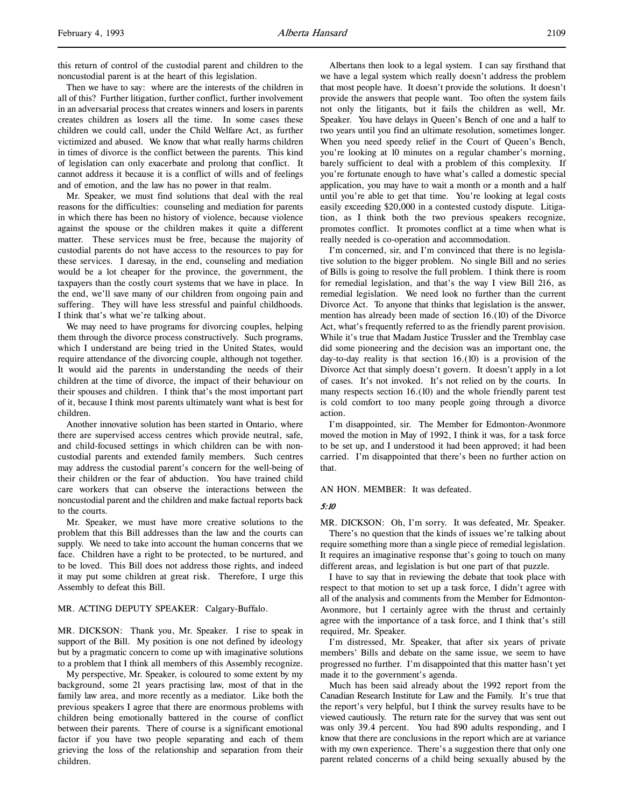this return of control of the custodial parent and children to the noncustodial parent is at the heart of this legislation.

Then we have to say: where are the interests of the children in all of this? Further litigation, further conflict, further involvement in an adversarial process that creates winners and losers in parents creates children as losers all the time. In some cases these children we could call, under the Child Welfare Act, as further victimized and abused. We know that what really harms children in times of divorce is the conflict between the parents. This kind of legislation can only exacerbate and prolong that conflict. It cannot address it because it is a conflict of wills and of feelings and of emotion, and the law has no power in that realm.

Mr. Speaker, we must find solutions that deal with the real reasons for the difficulties: counseling and mediation for parents in which there has been no history of violence, because violence against the spouse or the children makes it quite a different matter. These services must be free, because the majority of custodial parents do not have access to the resources to pay for these services. I daresay, in the end, counseling and mediation would be a lot cheaper for the province, the government, the taxpayers than the costly court systems that we have in place. In the end, we'll save many of our children from ongoing pain and suffering. They will have less stressful and painful childhoods. I think that's what we're talking about.

We may need to have programs for divorcing couples, helping them through the divorce process constructively. Such programs, which I understand are being tried in the United States, would require attendance of the divorcing couple, although not together. It would aid the parents in understanding the needs of their children at the time of divorce, the impact of their behaviour on their spouses and children. I think that's the most important part of it, because I think most parents ultimately want what is best for children.

Another innovative solution has been started in Ontario, where there are supervised access centres which provide neutral, safe, and child-focused settings in which children can be with noncustodial parents and extended family members. Such centres may address the custodial parent's concern for the well-being of their children or the fear of abduction. You have trained child care workers that can observe the interactions between the noncustodial parent and the children and make factual reports back to the courts.

Mr. Speaker, we must have more creative solutions to the problem that this Bill addresses than the law and the courts can supply. We need to take into account the human concerns that we face. Children have a right to be protected, to be nurtured, and to be loved. This Bill does not address those rights, and indeed it may put some children at great risk. Therefore, I urge this Assembly to defeat this Bill.

#### MR. ACTING DEPUTY SPEAKER: Calgary-Buffalo.

MR. DICKSON: Thank you, Mr. Speaker. I rise to speak in support of the Bill. My position is one not defined by ideology but by a pragmatic concern to come up with imaginative solutions to a problem that I think all members of this Assembly recognize.

My perspective, Mr. Speaker, is coloured to some extent by my background, some 21 years practising law, most of that in the family law area, and more recently as a mediator. Like both the previous speakers I agree that there are enormous problems with children being emotionally battered in the course of conflict between their parents. There of course is a significant emotional factor if you have two people separating and each of them grieving the loss of the relationship and separation from their children.

Albertans then look to a legal system. I can say firsthand that we have a legal system which really doesn't address the problem that most people have. It doesn't provide the solutions. It doesn't provide the answers that people want. Too often the system fails not only the litigants, but it fails the children as well, Mr. Speaker. You have delays in Queen's Bench of one and a half to two years until you find an ultimate resolution, sometimes longer. When you need speedy relief in the Court of Queen's Bench, you're looking at 10 minutes on a regular chamber's morning, barely sufficient to deal with a problem of this complexity. If you're fortunate enough to have what's called a domestic special application, you may have to wait a month or a month and a half until you're able to get that time. You're looking at legal costs easily exceeding \$20,000 in a contested custody dispute. Litigation, as I think both the two previous speakers recognize, promotes conflict. It promotes conflict at a time when what is really needed is co-operation and accommodation.

I'm concerned, sir, and I'm convinced that there is no legislative solution to the bigger problem. No single Bill and no series of Bills is going to resolve the full problem. I think there is room for remedial legislation, and that's the way I view Bill 216, as remedial legislation. We need look no further than the current Divorce Act. To anyone that thinks that legislation is the answer, mention has already been made of section 16.(10) of the Divorce Act, what's frequently referred to as the friendly parent provision. While it's true that Madam Justice Trussler and the Tremblay case did some pioneering and the decision was an important one, the day-to-day reality is that section 16.(10) is a provision of the Divorce Act that simply doesn't govern. It doesn't apply in a lot of cases. It's not invoked. It's not relied on by the courts. In many respects section 16.(10) and the whole friendly parent test is cold comfort to too many people going through a divorce action.

I'm disappointed, sir. The Member for Edmonton-Avonmore moved the motion in May of 1992, I think it was, for a task force to be set up, and I understood it had been approved; it had been carried. I'm disappointed that there's been no further action on that.

#### AN HON. MEMBER: It was defeated.

#### 5:10

MR. DICKSON: Oh, I'm sorry. It was defeated, Mr. Speaker. There's no question that the kinds of issues we're talking about require something more than a single piece of remedial legislation. It requires an imaginative response that's going to touch on many different areas, and legislation is but one part of that puzzle.

I have to say that in reviewing the debate that took place with respect to that motion to set up a task force, I didn't agree with all of the analysis and comments from the Member for Edmonton-Avonmore, but I certainly agree with the thrust and certainly agree with the importance of a task force, and I think that's still required, Mr. Speaker.

I'm distressed, Mr. Speaker, that after six years of private members' Bills and debate on the same issue, we seem to have progressed no further. I'm disappointed that this matter hasn't yet made it to the government's agenda.

Much has been said already about the 1992 report from the Canadian Research Institute for Law and the Family. It's true that the report's very helpful, but I think the survey results have to be viewed cautiously. The return rate for the survey that was sent out was only 39.4 percent. You had 890 adults responding, and I know that there are conclusions in the report which are at variance with my own experience. There's a suggestion there that only one parent related concerns of a child being sexually abused by the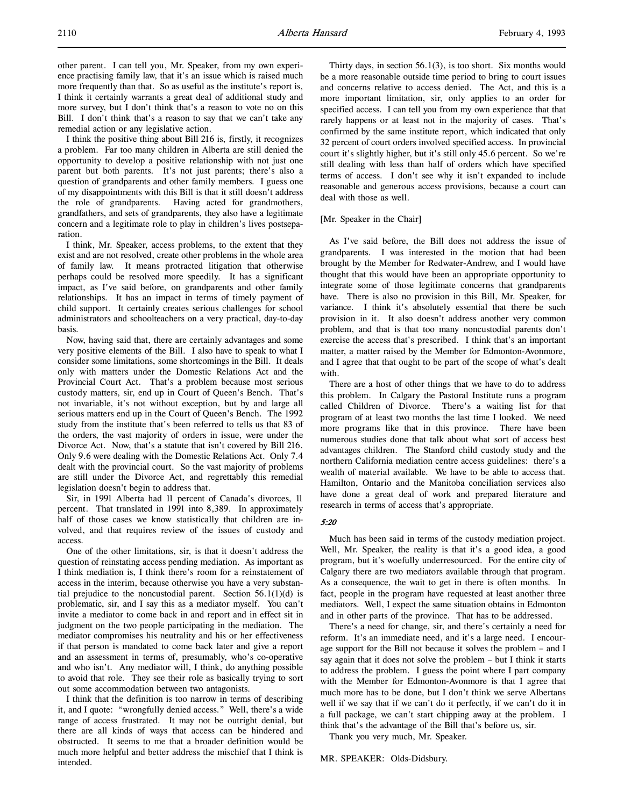I think the positive thing about Bill 216 is, firstly, it recognizes a problem. Far too many children in Alberta are still denied the opportunity to develop a positive relationship with not just one parent but both parents. It's not just parents; there's also a question of grandparents and other family members. I guess one of my disappointments with this Bill is that it still doesn't address the role of grandparents. Having acted for grandmothers, grandfathers, and sets of grandparents, they also have a legitimate concern and a legitimate role to play in children's lives postseparation.

I think, Mr. Speaker, access problems, to the extent that they exist and are not resolved, create other problems in the whole area of family law. It means protracted litigation that otherwise perhaps could be resolved more speedily. It has a significant impact, as I've said before, on grandparents and other family relationships. It has an impact in terms of timely payment of child support. It certainly creates serious challenges for school administrators and schoolteachers on a very practical, day-to-day basis.

Now, having said that, there are certainly advantages and some very positive elements of the Bill. I also have to speak to what I consider some limitations, some shortcomings in the Bill. It deals only with matters under the Domestic Relations Act and the Provincial Court Act. That's a problem because most serious custody matters, sir, end up in Court of Queen's Bench. That's not invariable, it's not without exception, but by and large all serious matters end up in the Court of Queen's Bench. The 1992 study from the institute that's been referred to tells us that 83 of the orders, the vast majority of orders in issue, were under the Divorce Act. Now, that's a statute that isn't covered by Bill 216. Only 9.6 were dealing with the Domestic Relations Act. Only 7.4 dealt with the provincial court. So the vast majority of problems are still under the Divorce Act, and regrettably this remedial legislation doesn't begin to address that.

Sir, in 1991 Alberta had 11 percent of Canada's divorces, 11 percent. That translated in 1991 into 8,389. In approximately half of those cases we know statistically that children are involved, and that requires review of the issues of custody and access.

One of the other limitations, sir, is that it doesn't address the question of reinstating access pending mediation. As important as I think mediation is, I think there's room for a reinstatement of access in the interim, because otherwise you have a very substantial prejudice to the noncustodial parent. Section  $56.1(1)(d)$  is problematic, sir, and I say this as a mediator myself. You can't invite a mediator to come back in and report and in effect sit in judgment on the two people participating in the mediation. The mediator compromises his neutrality and his or her effectiveness if that person is mandated to come back later and give a report and an assessment in terms of, presumably, who's co-operative and who isn't. Any mediator will, I think, do anything possible to avoid that role. They see their role as basically trying to sort out some accommodation between two antagonists.

I think that the definition is too narrow in terms of describing it, and I quote: "wrongfully denied access." Well, there's a wide range of access frustrated. It may not be outright denial, but there are all kinds of ways that access can be hindered and obstructed. It seems to me that a broader definition would be much more helpful and better address the mischief that I think is intended.

Thirty days, in section 56.1(3), is too short. Six months would be a more reasonable outside time period to bring to court issues and concerns relative to access denied. The Act, and this is a more important limitation, sir, only applies to an order for specified access. I can tell you from my own experience that that rarely happens or at least not in the majority of cases. That's confirmed by the same institute report, which indicated that only 32 percent of court orders involved specified access. In provincial court it's slightly higher, but it's still only 45.6 percent. So we're still dealing with less than half of orders which have specified terms of access. I don't see why it isn't expanded to include reasonable and generous access provisions, because a court can deal with those as well.

#### [Mr. Speaker in the Chair]

As I've said before, the Bill does not address the issue of grandparents. I was interested in the motion that had been brought by the Member for Redwater-Andrew, and I would have thought that this would have been an appropriate opportunity to integrate some of those legitimate concerns that grandparents have. There is also no provision in this Bill, Mr. Speaker, for variance. I think it's absolutely essential that there be such provision in it. It also doesn't address another very common problem, and that is that too many noncustodial parents don't exercise the access that's prescribed. I think that's an important matter, a matter raised by the Member for Edmonton-Avonmore, and I agree that that ought to be part of the scope of what's dealt with.

There are a host of other things that we have to do to address this problem. In Calgary the Pastoral Institute runs a program called Children of Divorce. There's a waiting list for that program of at least two months the last time I looked. We need more programs like that in this province. There have been numerous studies done that talk about what sort of access best advantages children. The Stanford child custody study and the northern California mediation centre access guidelines: there's a wealth of material available. We have to be able to access that. Hamilton, Ontario and the Manitoba conciliation services also have done a great deal of work and prepared literature and research in terms of access that's appropriate.

## 5:20

Much has been said in terms of the custody mediation project. Well, Mr. Speaker, the reality is that it's a good idea, a good program, but it's woefully underresourced. For the entire city of Calgary there are two mediators available through that program. As a consequence, the wait to get in there is often months. In fact, people in the program have requested at least another three mediators. Well, I expect the same situation obtains in Edmonton and in other parts of the province. That has to be addressed.

There's a need for change, sir, and there's certainly a need for reform. It's an immediate need, and it's a large need. I encourage support for the Bill not because it solves the problem – and I say again that it does not solve the problem – but I think it starts to address the problem. I guess the point where I part company with the Member for Edmonton-Avonmore is that I agree that much more has to be done, but I don't think we serve Albertans well if we say that if we can't do it perfectly, if we can't do it in a full package, we can't start chipping away at the problem. I think that's the advantage of the Bill that's before us, sir.

Thank you very much, Mr. Speaker.

MR. SPEAKER: Olds-Didsbury.